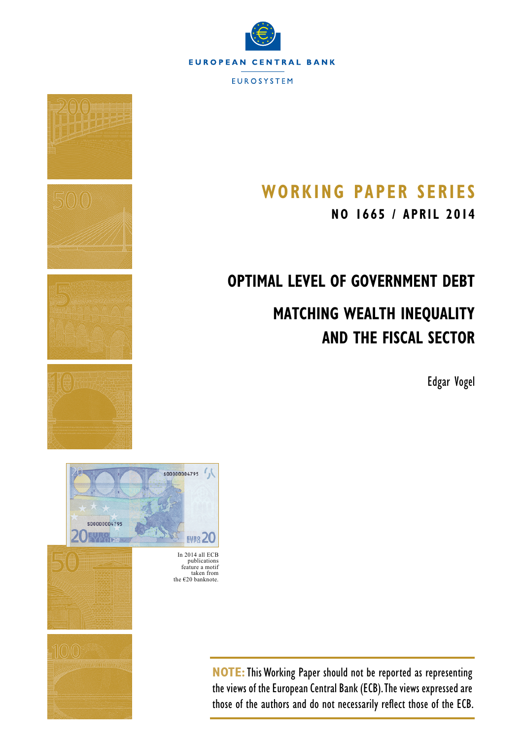





# **Working Paper SerieS**

**NO 1665 / apri l 2014**

# **Optimal Level of Government Debt**

# **Matching Wealth Inequality and the Fiscal Sector**

Edgar Vogel



publications feature a motif taken from the  $\epsilon$ 20 banknote.

> **NOTE:**This Working Paper should not be reported as representing the views of the European Central Bank (ECB). The views expressed are those of the authors and do not necessarily reflect those of the ECB.

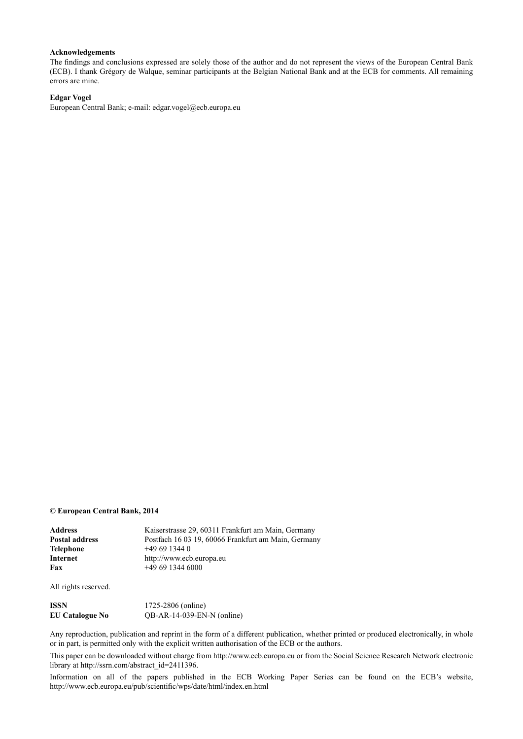#### **Acknowledgements**

The findings and conclusions expressed are solely those of the author and do not represent the views of the European Central Bank (ECB). I thank Grégory de Walque, seminar participants at the Belgian National Bank and at the ECB for comments. All remaining errors are mine.

#### **Edgar Vogel**

European Central Bank; e-mail: [edgar.vogel@ecb.europa.eu](mailto:edgar.vogel%40ecb.europa.eu?subject=)

#### **© European Central Bank, 2014**

| Address        | Kaiserstrasse 29, 60311 Frankfurt am Main, Germany  |
|----------------|-----------------------------------------------------|
| Postal address | Postfach 16 03 19, 60066 Frankfurt am Main, Germany |
| Telephone      | $+496913440$                                        |
| Internet       | http://www.ecb.europa.eu                            |
| Fax            | $+496913446000$                                     |
|                |                                                     |

All rights reserved.

| ISSN                   | 1725-2806 (online)           |
|------------------------|------------------------------|
| <b>EU Catalogue No</b> | $QB-AR-14-039-EN-N$ (online) |

Any reproduction, publication and reprint in the form of a different publication, whether printed or produced electronically, in whole or in part, is permitted only with the explicit written authorisation of the ECB or the authors.

This paper can be downloaded without charge from http://www.ecb.europa.eu or from the Social Science Research Network electronic library at http://ssrn.com/abstract\_id=2411396.

Information on all of the papers published in the ECB Working Paper Series can be found on the ECB's website, <http://www.ecb.europa.eu/pub/scientific/wps/date/html/index.en.html>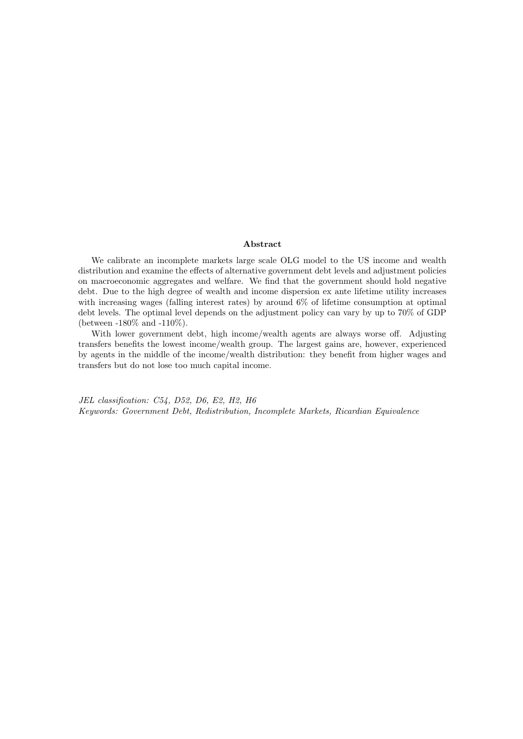#### **Abstract**

We calibrate an incomplete markets large scale OLG model to the US income and wealth distribution and examine the effects of alternative government debt levels and adjustment policies on macroeconomic aggregates and welfare. We find that the government should hold negative debt. Due to the high degree of wealth and income dispersion ex ante lifetime utility increases with increasing wages (falling interest rates) by around 6% of lifetime consumption at optimal debt levels. The optimal level depends on the adjustment policy can vary by up to 70% of GDP (between -180% and -110%).

With lower government debt, high income/wealth agents are always worse off. Adjusting transfers benefits the lowest income/wealth group. The largest gains are, however, experienced by agents in the middle of the income/wealth distribution: they benefit from higher wages and transfers but do not lose too much capital income.

*JEL classification: C54, D52, D6, E2, H2, H6 Keywords: Government Debt, Redistribution, Incomplete Markets, Ricardian Equivalence*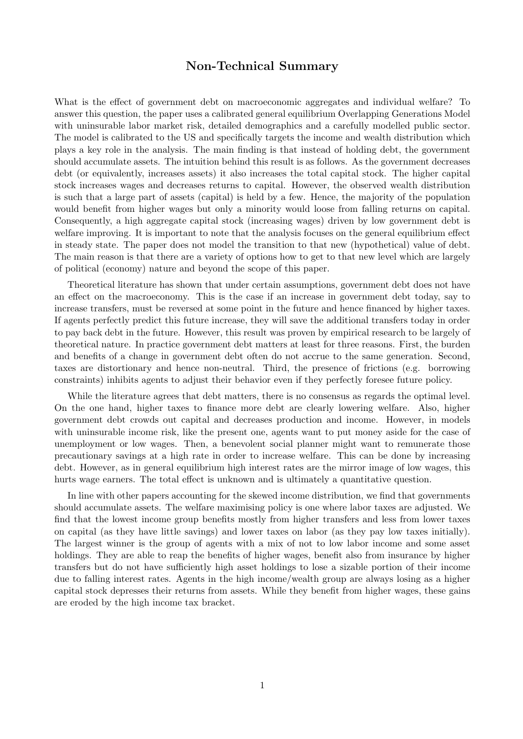## Non-Technical Summary

What is the effect of government debt on macroeconomic aggregates and individual welfare? To answer this question, the paper uses a calibrated general equilibrium Overlapping Generations Model with uninsurable labor market risk, detailed demographics and a carefully modelled public sector. The model is calibrated to the US and specifically targets the income and wealth distribution which plays a key role in the analysis. The main finding is that instead of holding debt, the government should accumulate assets. The intuition behind this result is as follows. As the government decreases debt (or equivalently, increases assets) it also increases the total capital stock. The higher capital stock increases wages and decreases returns to capital. However, the observed wealth distribution is such that a large part of assets (capital) is held by a few. Hence, the majority of the population would benefit from higher wages but only a minority would loose from falling returns on capital. Consequently, a high aggregate capital stock (increasing wages) driven by low government debt is welfare improving. It is important to note that the analysis focuses on the general equilibrium effect in steady state. The paper does not model the transition to that new (hypothetical) value of debt. The main reason is that there are a variety of options how to get to that new level which are largely of political (economy) nature and beyond the scope of this paper.

Theoretical literature has shown that under certain assumptions, government debt does not have an effect on the macroeconomy. This is the case if an increase in government debt today, say to increase transfers, must be reversed at some point in the future and hence financed by higher taxes. If agents perfectly predict this future increase, they will save the additional transfers today in order to pay back debt in the future. However, this result was proven by empirical research to be largely of theoretical nature. In practice government debt matters at least for three reasons. First, the burden and benefits of a change in government debt often do not accrue to the same generation. Second, taxes are distortionary and hence non-neutral. Third, the presence of frictions (e.g. borrowing constraints) inhibits agents to adjust their behavior even if they perfectly foresee future policy.

While the literature agrees that debt matters, there is no consensus as regards the optimal level. On the one hand, higher taxes to finance more debt are clearly lowering welfare. Also, higher government debt crowds out capital and decreases production and income. However, in models with uninsurable income risk, like the present one, agents want to put money aside for the case of unemployment or low wages. Then, a benevolent social planner might want to remunerate those precautionary savings at a high rate in order to increase welfare. This can be done by increasing debt. However, as in general equilibrium high interest rates are the mirror image of low wages, this hurts wage earners. The total effect is unknown and is ultimately a quantitative question.

In line with other papers accounting for the skewed income distribution, we find that governments should accumulate assets. The welfare maximising policy is one where labor taxes are adjusted. We find that the lowest income group benefits mostly from higher transfers and less from lower taxes on capital (as they have little savings) and lower taxes on labor (as they pay low taxes initially). The largest winner is the group of agents with a mix of not to low labor income and some asset holdings. They are able to reap the benefits of higher wages, benefit also from insurance by higher transfers but do not have sufficiently high asset holdings to lose a sizable portion of their income due to falling interest rates. Agents in the high income/wealth group are always losing as a higher capital stock depresses their returns from assets. While they benefit from higher wages, these gains are eroded by the high income tax bracket.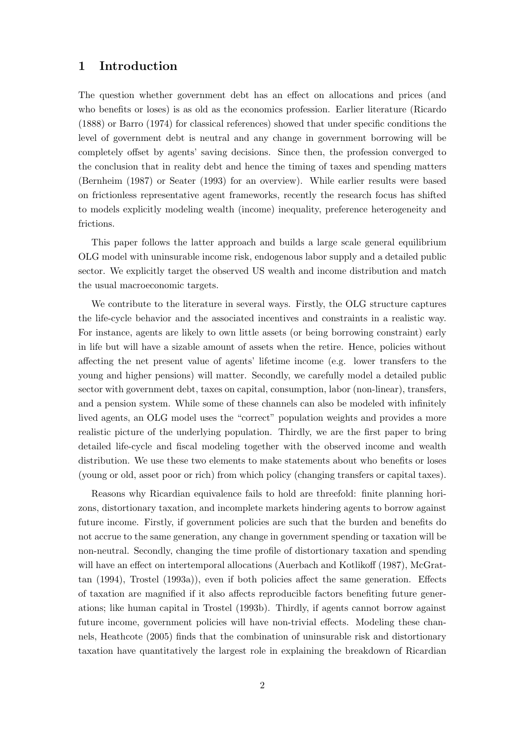## **1 Introduction**

The question whether government debt has an effect on allocations and prices (and who benefits or loses) is as old as the economics profession. Earlier literature (Ricardo (1888) or Barro (1974) for classical references) showed that under specific conditions the level of government debt is neutral and any change in government borrowing will be completely offset by agents' saving decisions. Since then, the profession converged to the conclusion that in reality debt and hence the timing of taxes and spending matters (Bernheim (1987) or Seater (1993) for an overview). While earlier results were based on frictionless representative agent frameworks, recently the research focus has shifted to models explicitly modeling wealth (income) inequality, preference heterogeneity and frictions.

This paper follows the latter approach and builds a large scale general equilibrium OLG model with uninsurable income risk, endogenous labor supply and a detailed public sector. We explicitly target the observed US wealth and income distribution and match the usual macroeconomic targets.

We contribute to the literature in several ways. Firstly, the OLG structure captures the life-cycle behavior and the associated incentives and constraints in a realistic way. For instance, agents are likely to own little assets (or being borrowing constraint) early in life but will have a sizable amount of assets when the retire. Hence, policies without affecting the net present value of agents' lifetime income (e.g. lower transfers to the young and higher pensions) will matter. Secondly, we carefully model a detailed public sector with government debt, taxes on capital, consumption, labor (non-linear), transfers, and a pension system. While some of these channels can also be modeled with infinitely lived agents, an OLG model uses the "correct" population weights and provides a more realistic picture of the underlying population. Thirdly, we are the first paper to bring detailed life-cycle and fiscal modeling together with the observed income and wealth distribution. We use these two elements to make statements about who benefits or loses (young or old, asset poor or rich) from which policy (changing transfers or capital taxes).

Reasons why Ricardian equivalence fails to hold are threefold: finite planning horizons, distortionary taxation, and incomplete markets hindering agents to borrow against future income. Firstly, if government policies are such that the burden and benefits do not accrue to the same generation, any change in government spending or taxation will be non-neutral. Secondly, changing the time profile of distortionary taxation and spending will have an effect on intertemporal allocations (Auerbach and Kotlikoff (1987), McGrattan (1994), Trostel (1993a)), even if both policies affect the same generation. Effects of taxation are magnified if it also affects reproducible factors benefiting future generations; like human capital in Trostel (1993b). Thirdly, if agents cannot borrow against future income, government policies will have non-trivial effects. Modeling these channels, Heathcote (2005) finds that the combination of uninsurable risk and distortionary taxation have quantitatively the largest role in explaining the breakdown of Ricardian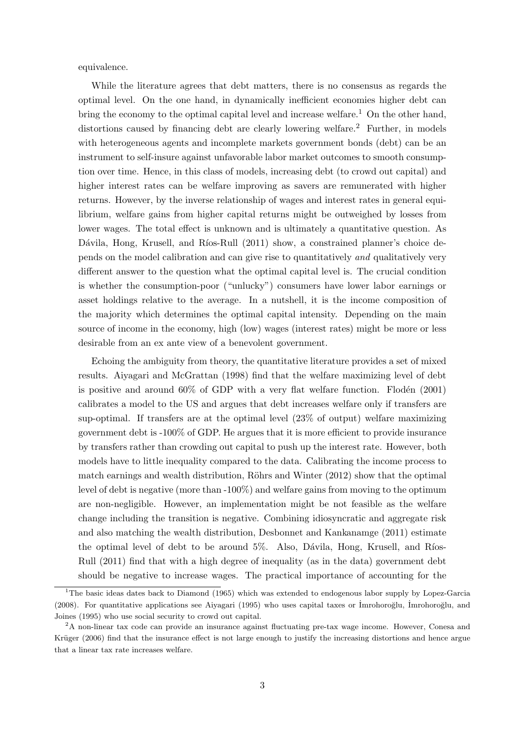equivalence.

While the literature agrees that debt matters, there is no consensus as regards the optimal level. On the one hand, in dynamically inefficient economies higher debt can bring the economy to the optimal capital level and increase welfare.<sup>1</sup> On the other hand, distortions caused by financing debt are clearly lowering welfare.<sup>2</sup> Further, in models with heterogeneous agents and incomplete markets government bonds (debt) can be an instrument to self-insure against unfavorable labor market outcomes to smooth consumption over time. Hence, in this class of models, increasing debt (to crowd out capital) and higher interest rates can be welfare improving as savers are remunerated with higher returns. However, by the inverse relationship of wages and interest rates in general equilibrium, welfare gains from higher capital returns might be outweighed by losses from lower wages. The total effect is unknown and is ultimately a quantitative question. As Dávila, Hong, Krusell, and Ríos-Rull (2011) show, a constrained planner's choice depends on the model calibration and can give rise to quantitatively *and* qualitatively very different answer to the question what the optimal capital level is. The crucial condition is whether the consumption-poor ("unlucky") consumers have lower labor earnings or asset holdings relative to the average. In a nutshell, it is the income composition of the majority which determines the optimal capital intensity. Depending on the main source of income in the economy, high (low) wages (interest rates) might be more or less desirable from an ex ante view of a benevolent government.

Echoing the ambiguity from theory, the quantitative literature provides a set of mixed results. Aiyagari and McGrattan (1998) find that the welfare maximizing level of debt is positive and around  $60\%$  of GDP with a very flat welfare function. Flodén (2001) calibrates a model to the US and argues that debt increases welfare only if transfers are sup-optimal. If transfers are at the optimal level (23% of output) welfare maximizing government debt is -100% of GDP. He argues that it is more efficient to provide insurance by transfers rather than crowding out capital to push up the interest rate. However, both models have to little inequality compared to the data. Calibrating the income process to match earnings and wealth distribution, Röhrs and Winter  $(2012)$  show that the optimal level of debt is negative (more than -100%) and welfare gains from moving to the optimum are non-negligible. However, an implementation might be not feasible as the welfare change including the transition is negative. Combining idiosyncratic and aggregate risk and also matching the wealth distribution, Desbonnet and Kankanamge (2011) estimate the optimal level of debt to be around  $5\%$ . Also, Dávila, Hong, Krusell, and Ríos-Rull (2011) find that with a high degree of inequality (as in the data) government debt should be negative to increase wages. The practical importance of accounting for the

<sup>&</sup>lt;sup>1</sup>The basic ideas dates back to Diamond (1965) which was extended to endogenous labor supply by Lopez-Garcia (2008). For quantitative applications see Aiyagari (1995) who uses capital taxes or Imrohoroğlu, Imrohoroğlu, and Joines (1995) who use social security to crowd out capital.

<sup>2</sup>A non-linear tax code can provide an insurance against fluctuating pre-tax wage income. However, Conesa and Krüger (2006) find that the insurance effect is not large enough to justify the increasing distortions and hence argue that a linear tax rate increases welfare.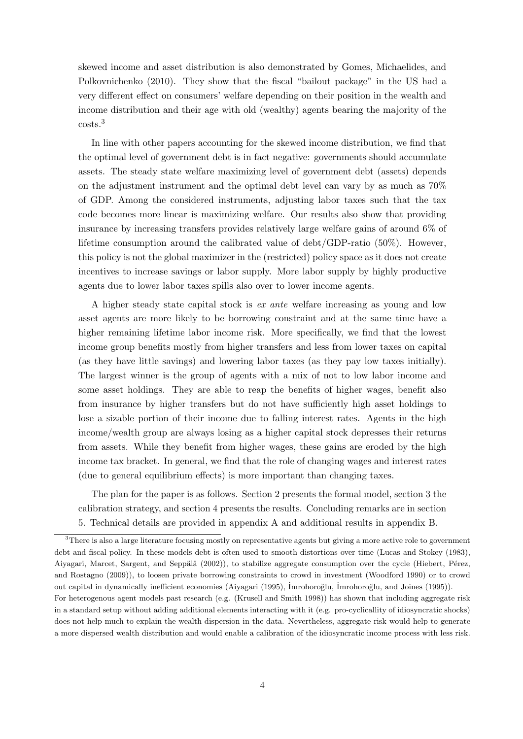skewed income and asset distribution is also demonstrated by Gomes, Michaelides, and Polkovnichenko (2010). They show that the fiscal "bailout package" in the US had a very different effect on consumers' welfare depending on their position in the wealth and income distribution and their age with old (wealthy) agents bearing the majority of the costs.<sup>3</sup>

In line with other papers accounting for the skewed income distribution, we find that the optimal level of government debt is in fact negative: governments should accumulate assets. The steady state welfare maximizing level of government debt (assets) depends on the adjustment instrument and the optimal debt level can vary by as much as 70% of GDP. Among the considered instruments, adjusting labor taxes such that the tax code becomes more linear is maximizing welfare. Our results also show that providing insurance by increasing transfers provides relatively large welfare gains of around 6% of lifetime consumption around the calibrated value of  $\text{debt}/\text{GDP-ratio}$  (50%). However, this policy is not the global maximizer in the (restricted) policy space as it does not create incentives to increase savings or labor supply. More labor supply by highly productive agents due to lower labor taxes spills also over to lower income agents.

A higher steady state capital stock is *ex ante* welfare increasing as young and low asset agents are more likely to be borrowing constraint and at the same time have a higher remaining lifetime labor income risk. More specifically, we find that the lowest income group benefits mostly from higher transfers and less from lower taxes on capital (as they have little savings) and lowering labor taxes (as they pay low taxes initially). The largest winner is the group of agents with a mix of not to low labor income and some asset holdings. They are able to reap the benefits of higher wages, benefit also from insurance by higher transfers but do not have sufficiently high asset holdings to lose a sizable portion of their income due to falling interest rates. Agents in the high income/wealth group are always losing as a higher capital stock depresses their returns from assets. While they benefit from higher wages, these gains are eroded by the high income tax bracket. In general, we find that the role of changing wages and interest rates (due to general equilibrium effects) is more important than changing taxes.

The plan for the paper is as follows. Section 2 presents the formal model, section 3 the calibration strategy, and section 4 presents the results. Concluding remarks are in section 5. Technical details are provided in appendix A and additional results in appendix B.

<sup>&</sup>lt;sup>3</sup>There is also a large literature focusing mostly on representative agents but giving a more active role to government debt and fiscal policy. In these models debt is often used to smooth distortions over time (Lucas and Stokey (1983), Aiyagari, Marcet, Sargent, and Seppälä (2002)), to stabilize aggregate consumption over the cycle (Hiebert, Pérez, and Rostagno (2009)), to loosen private borrowing constraints to crowd in investment (Woodford 1990) or to crowd out capital in dynamically inefficient economies (Aiyagari (1995), İmrohoroğlu, İmrohoroğlu, and Joines (1995)). For heterogenous agent models past research (e.g. (Krusell and Smith 1998)) has shown that including aggregate risk in a standard setup without adding additional elements interacting with it (e.g. pro-cyclicallity of idiosyncratic shocks) does not help much to explain the wealth dispersion in the data. Nevertheless, aggregate risk would help to generate a more dispersed wealth distribution and would enable a calibration of the idiosyncratic income process with less risk.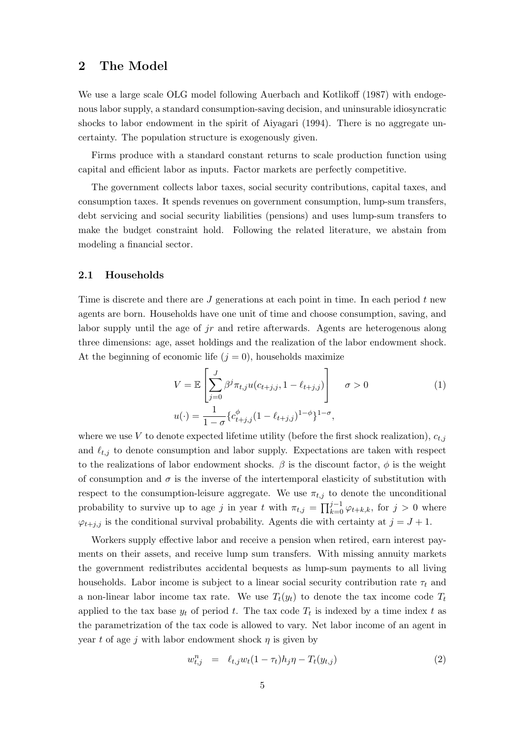## **2 The Model**

We use a large scale OLG model following Auerbach and Kotlikoff (1987) with endogenous labor supply, a standard consumption-saving decision, and uninsurable idiosyncratic shocks to labor endowment in the spirit of Aiyagari (1994). There is no aggregate uncertainty. The population structure is exogenously given.

Firms produce with a standard constant returns to scale production function using capital and efficient labor as inputs. Factor markets are perfectly competitive.

The government collects labor taxes, social security contributions, capital taxes, and consumption taxes. It spends revenues on government consumption, lump-sum transfers, debt servicing and social security liabilities (pensions) and uses lump-sum transfers to make the budget constraint hold. Following the related literature, we abstain from modeling a financial sector.

#### **2.1 Households**

Time is discrete and there are *J* generations at each point in time. In each period *t* new agents are born. Households have one unit of time and choose consumption, saving, and labor supply until the age of *jr* and retire afterwards. Agents are heterogenous along three dimensions: age, asset holdings and the realization of the labor endowment shock. At the beginning of economic life  $(j = 0)$ , households maximize

$$
V = \mathbb{E}\left[\sum_{j=0}^{J} \beta^j \pi_{t,j} u(c_{t+j,j}, 1 - \ell_{t+j,j})\right] \quad \sigma > 0
$$
  

$$
u(\cdot) = \frac{1}{1 - \sigma} \{c_{t+j,j}^{\phi} (1 - \ell_{t+j,j})^{1 - \phi}\}^{1 - \sigma},
$$
 (1)

where we use *V* to denote expected lifetime utility (before the first shock realization),  $c_{t,i}$ and  $\ell_{t,j}$  to denote consumption and labor supply. Expectations are taken with respect to the realizations of labor endowment shocks.  $\beta$  is the discount factor,  $\phi$  is the weight of consumption and  $\sigma$  is the inverse of the intertemporal elasticity of substitution with respect to the consumption-leisure aggregate. We use  $\pi_{t,j}$  to denote the unconditional probability to survive up to age *j* in year *t* with  $\pi_{t,j} = \prod_{k=0}^{j-1} \varphi_{t+k,k}$ , for  $j > 0$  where  $\varphi_{t+j,j}$  is the conditional survival probability. Agents die with certainty at  $j = J + 1$ .

Workers supply effective labor and receive a pension when retired, earn interest payments on their assets, and receive lump sum transfers. With missing annuity markets the government redistributes accidental bequests as lump-sum payments to all living households. Labor income is subject to a linear social security contribution rate  $\tau_t$  and a non-linear labor income tax rate. We use  $T_t(y_t)$  to denote the tax income code  $T_t$ applied to the tax base  $y_t$  of period  $t$ . The tax code  $T_t$  is indexed by a time index  $t$  as the parametrization of the tax code is allowed to vary. Net labor income of an agent in year *t* of age *j* with labor endowment shock *η* is given by

$$
w_{t,j}^{n} = \ell_{t,j} w_t (1 - \tau_t) h_j \eta - T_t(y_{t,j}) \tag{2}
$$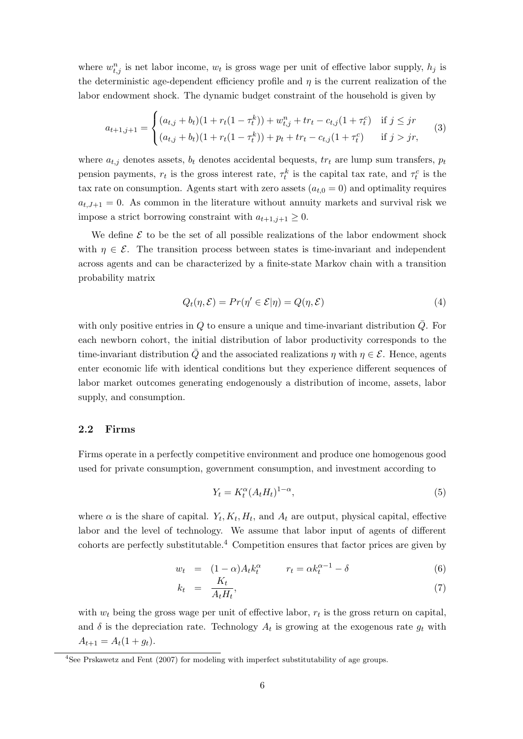where  $w_{t,j}^n$  is net labor income,  $w_t$  is gross wage per unit of effective labor supply,  $h_j$  is the deterministic age-dependent efficiency profile and  $\eta$  is the current realization of the labor endowment shock. The dynamic budget constraint of the household is given by

$$
a_{t+1,j+1} = \begin{cases} (a_{t,j} + b_t)(1 + r_t(1 - \tau_t^k)) + w_{t,j}^n + tr_t - c_{t,j}(1 + \tau_t^c) & \text{if } j \leq jr \\ (a_{t,j} + b_t)(1 + r_t(1 - \tau_t^k)) + p_t + tr_t - c_{t,j}(1 + \tau_t^c) & \text{if } j > jr \end{cases}
$$
(3)

where  $a_{t,j}$  denotes assets,  $b_t$  denotes accidental bequests,  $tr_t$  are lump sum transfers,  $p_t$ pension payments,  $r_t$  is the gross interest rate,  $\tau_t^k$  is the capital tax rate, and  $\tau_t^c$  is the tax rate on consumption. Agents start with zero assets  $(a_{t,0} = 0)$  and optimality requires  $a_{t,J+1} = 0$ . As common in the literature without annuity markets and survival risk we impose a strict borrowing constraint with  $a_{t+1,j+1} \geq 0$ .

We define  $\mathcal E$  to be the set of all possible realizations of the labor endowment shock with  $\eta \in \mathcal{E}$ . The transition process between states is time-invariant and independent across agents and can be characterized by a finite-state Markov chain with a transition probability matrix

$$
Q_t(\eta, \mathcal{E}) = Pr(\eta' \in \mathcal{E}|\eta) = Q(\eta, \mathcal{E})
$$
\n(4)

with only positive entries in  $Q$  to ensure a unique and time-invariant distribution  $\overline{Q}$ . For each newborn cohort, the initial distribution of labor productivity corresponds to the time-invariant distribution  $\overline{Q}$  and the associated realizations *η* with  $\eta \in \mathcal{E}$ . Hence, agents enter economic life with identical conditions but they experience different sequences of labor market outcomes generating endogenously a distribution of income, assets, labor supply, and consumption.

#### **2.2 Firms**

Firms operate in a perfectly competitive environment and produce one homogenous good used for private consumption, government consumption, and investment according to

$$
Y_t = K_t^{\alpha} (A_t H_t)^{1-\alpha},\tag{5}
$$

where  $\alpha$  is the share of capital.  $Y_t, K_t, H_t$ , and  $A_t$  are output, physical capital, effective labor and the level of technology. We assume that labor input of agents of different cohorts are perfectly substitutable.<sup>4</sup> Competition ensures that factor prices are given by

$$
w_t = (1 - \alpha)A_t k_t^{\alpha} \qquad r_t = \alpha k_t^{\alpha - 1} - \delta \tag{6}
$$

$$
k_t = \frac{\Lambda_t}{A_t H_t},\tag{7}
$$

with  $w_t$  being the gross wage per unit of effective labor,  $r_t$  is the gross return on capital, and  $\delta$  is the depreciation rate. Technology  $A_t$  is growing at the exogenous rate  $g_t$  with  $A_{t+1} = A_t(1 + g_t).$ 

<sup>&</sup>lt;sup>4</sup>See Prskawetz and Fent (2007) for modeling with imperfect substitutability of age groups.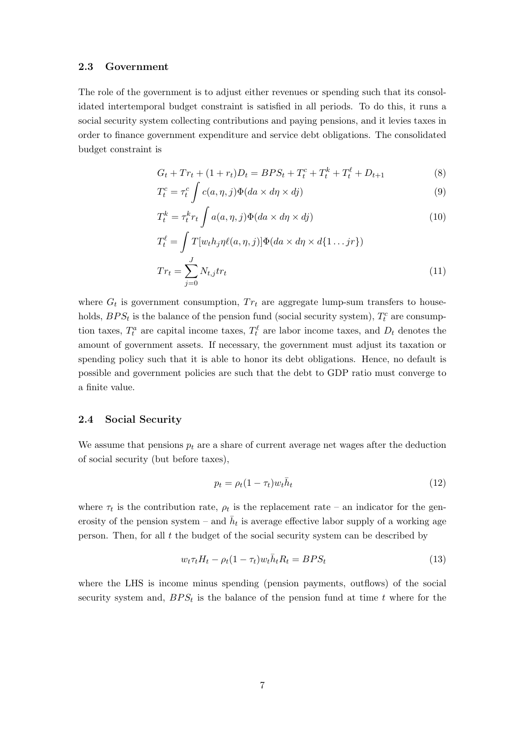## **2.3 Government**

The role of the government is to adjust either revenues or spending such that its consolidated intertemporal budget constraint is satisfied in all periods. To do this, it runs a social security system collecting contributions and paying pensions, and it levies taxes in order to finance government expenditure and service debt obligations. The consolidated budget constraint is

$$
G_t + Tr_t + (1 + r_t)D_t = BPS_t + T_t^c + T_t^k + T_t^\ell + D_{t+1}
$$
\n(8)

$$
T_t^c = \tau_t^c \int c(a, \eta, j) \Phi(da \times d\eta \times dj) \tag{9}
$$

$$
T_t^k = \tau_t^k r_t \int a(a, \eta, j) \Phi(da \times d\eta \times d\jmath)
$$
\n(10)

$$
T_t^{\ell} = \int T[w_t h_j \eta \ell(a, \eta, j)] \Phi(da \times d\eta \times d\{1 \dots jr\})
$$
  

$$
Tr_t = \sum_{j=0}^{J} N_{t,j} tr_t
$$
 (11)

where  $G_t$  is government consumption,  $Tr_t$  are aggregate lump-sum transfers to households,  $BPS_t$  is the balance of the pension fund (social security system),  $T_t^c$  are consumption taxes,  $T_t^a$  are capital income taxes,  $T_t^\ell$  are labor income taxes, and  $D_t$  denotes the amount of government assets. If necessary, the government must adjust its taxation or spending policy such that it is able to honor its debt obligations. Hence, no default is possible and government policies are such that the debt to GDP ratio must converge to a finite value.

#### **2.4 Social Security**

We assume that pensions  $p_t$  are a share of current average net wages after the deduction of social security (but before taxes),

$$
p_t = \rho_t (1 - \tau_t) w_t \bar{h}_t \tag{12}
$$

where  $\tau_t$  is the contribution rate,  $\rho_t$  is the replacement rate – an indicator for the generosity of the pension system – and  $\bar{h}_t$  is average effective labor supply of a working age person. Then, for all *t* the budget of the social security system can be described by

$$
w_t \tau_t H_t - \rho_t (1 - \tau_t) w_t \bar{h}_t R_t = BPS_t \tag{13}
$$

where the LHS is income minus spending (pension payments, outflows) of the social security system and,  $BPS<sub>t</sub>$  is the balance of the pension fund at time  $t$  where for the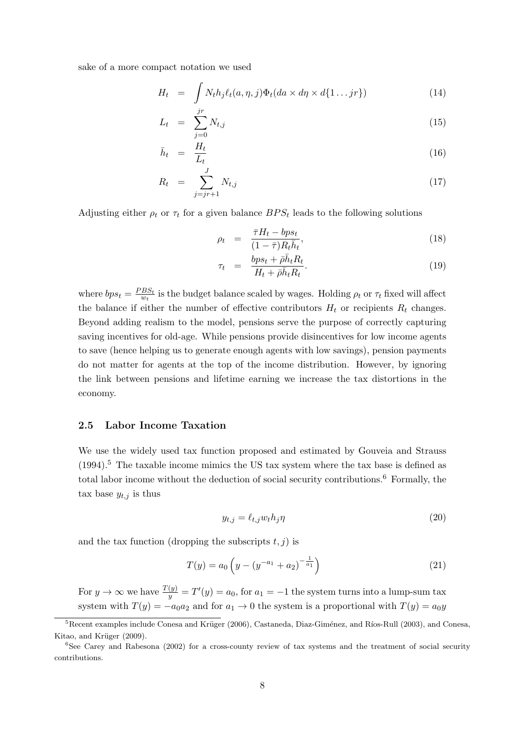sake of a more compact notation we used

$$
H_t = \int N_t h_j \ell_t(a, \eta, j) \Phi_t(da \times d\eta \times d\{1 \dots jr\}) \tag{14}
$$

$$
L_t = \sum_{j=0}^{jr} N_{t,j} \tag{15}
$$

$$
\bar{h}_t = \frac{H_t}{L_t} \tag{16}
$$

$$
R_t = \sum_{j=jr+1}^{J} N_{t,j} \tag{17}
$$

Adjusting either  $\rho_t$  or  $\tau_t$  for a given balance  $BPS_t$  leads to the following solutions

$$
\rho_t = \frac{\bar{\tau}H_t - bp s_t}{(1 - \bar{\tau})R_t \bar{h}_t},\tag{18}
$$

$$
\tau_t = \frac{bps_t + \bar{\rho}\bar{h}_t R_t}{H_t + \bar{\rho}\bar{h}_t R_t}.
$$
\n(19)

where  $bps_t = \frac{PBS_t}{w_t}$  $\frac{BS_t}{w_t}$  is the budget balance scaled by wages. Holding  $\rho_t$  or  $\tau_t$  fixed will affect the balance if either the number of effective contributors  $H_t$  or recipients  $R_t$  changes. Beyond adding realism to the model, pensions serve the purpose of correctly capturing saving incentives for old-age. While pensions provide disincentives for low income agents to save (hence helping us to generate enough agents with low savings), pension payments do not matter for agents at the top of the income distribution. However, by ignoring the link between pensions and lifetime earning we increase the tax distortions in the economy.

#### **2.5 Labor Income Taxation**

We use the widely used tax function proposed and estimated by Gouveia and Strauss  $(1994).$ <sup>5</sup> The taxable income mimics the US tax system where the tax base is defined as total labor income without the deduction of social security contributions.<sup>6</sup> Formally, the tax base  $y_{t,j}$  is thus

$$
y_{t,j} = \ell_{t,j} w_t h_j \eta \tag{20}
$$

and the tax function (dropping the subscripts  $t, j$ ) is

$$
T(y) = a_0 \left( y - \left( y^{-a_1} + a_2 \right)^{-\frac{1}{a_1}} \right) \tag{21}
$$

For  $y \to \infty$  we have  $\frac{T(y)}{y} = T'(y) = a_0$ , for  $a_1 = -1$  the system turns into a lump-sum tax system with  $T(y) = -a_0a_2$  and for  $a_1 \to 0$  the system is a proportional with  $T(y) = a_0y$ 

 ${}^{5}$ Recent examples include Conesa and Krüger (2006), Castaneda, Diaz-Giménez, and Ríos-Rull (2003), and Conesa, Kitao, and Krüger (2009).

<sup>&</sup>lt;sup>6</sup>See Carey and Rabesona (2002) for a cross-county review of tax systems and the treatment of social security contributions.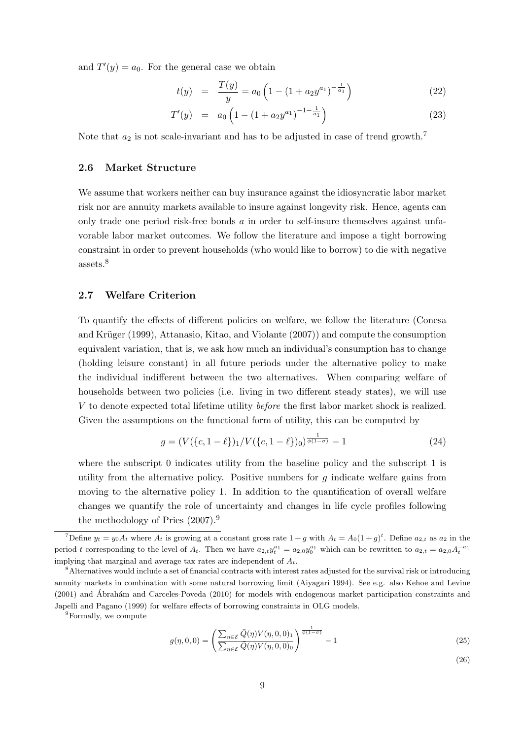and  $T'(y) = a_0$ . For the general case we obtain

$$
t(y) = \frac{T(y)}{y} = a_0 \left( 1 - \left( 1 + a_2 y^{a_1} \right)^{-\frac{1}{a_1}} \right) \tag{22}
$$

$$
T'(y) = a_0 \left( 1 - \left( 1 + a_2 y^{a_1} \right)^{-1 - \frac{1}{a_1}} \right) \tag{23}
$$

Note that  $a_2$  is not scale-invariant and has to be adjusted in case of trend growth.<sup>7</sup>

### **2.6 Market Structure**

We assume that workers neither can buy insurance against the idiosyncratic labor market risk nor are annuity markets available to insure against longevity risk. Hence, agents can only trade one period risk-free bonds *a* in order to self-insure themselves against unfavorable labor market outcomes. We follow the literature and impose a tight borrowing constraint in order to prevent households (who would like to borrow) to die with negative assets.<sup>8</sup>

### **2.7 Welfare Criterion**

To quantify the effects of different policies on welfare, we follow the literature (Conesa and Krüger (1999), Attanasio, Kitao, and Violante  $(2007)$ ) and compute the consumption equivalent variation, that is, we ask how much an individual's consumption has to change (holding leisure constant) in all future periods under the alternative policy to make the individual indifferent between the two alternatives. When comparing welfare of households between two policies (i.e. living in two different steady states), we will use *V* to denote expected total lifetime utility *before* the first labor market shock is realized. Given the assumptions on the functional form of utility, this can be computed by

$$
g = (V(\{c, 1 - \ell\})_1 / V(\{c, 1 - \ell\})_0)^{\frac{1}{\phi(1 - \sigma)}} - 1
$$
\n(24)

where the subscript 0 indicates utility from the baseline policy and the subscript 1 is utility from the alternative policy. Positive numbers for *g* indicate welfare gains from moving to the alternative policy 1. In addition to the quantification of overall welfare changes we quantify the role of uncertainty and changes in life cycle profiles following the methodology of Pries (2007).<sup>9</sup>

<sup>9</sup>Formally, we compute

$$
g(\eta, 0, 0) = \left(\frac{\sum_{\eta \in \mathcal{E}} \bar{Q}(\eta) V(\eta, 0, 0)_{1}}{\sum_{\eta \in \mathcal{E}} \bar{Q}(\eta) V(\eta, 0, 0)_{0}}\right)^{\frac{1}{\phi(1-\sigma)}} - 1
$$
\n(25)

(26)

<sup>&</sup>lt;sup>7</sup>Define  $y_t = y_0 A_t$  where  $A_t$  is growing at a constant gross rate  $1 + g$  with  $A_t = A_0 (1 + g)^t$ . Define  $a_{2,t}$  as  $a_2$  in the period t corresponding to the level of  $A_t$ . Then we have  $a_{2,t}y_t^{a_1} = a_{2,0}y_0^{a_1}$  which can be rewritten to  $a_{2,t} = a_{2,0}A_t^{-a_1}$ implying that marginal and average tax rates are independent of *At*.

<sup>8</sup>Alternatives would include a set of financial contracts with interest rates adjusted for the survival risk or introducing annuity markets in combination with some natural borrowing limit (Aiyagari 1994). See e.g. also Kehoe and Levine  $(2001)$  and Ábrahám and Carceles-Poveda  $(2010)$  for models with endogenous market participation constraints and Japelli and Pagano (1999) for welfare effects of borrowing constraints in OLG models.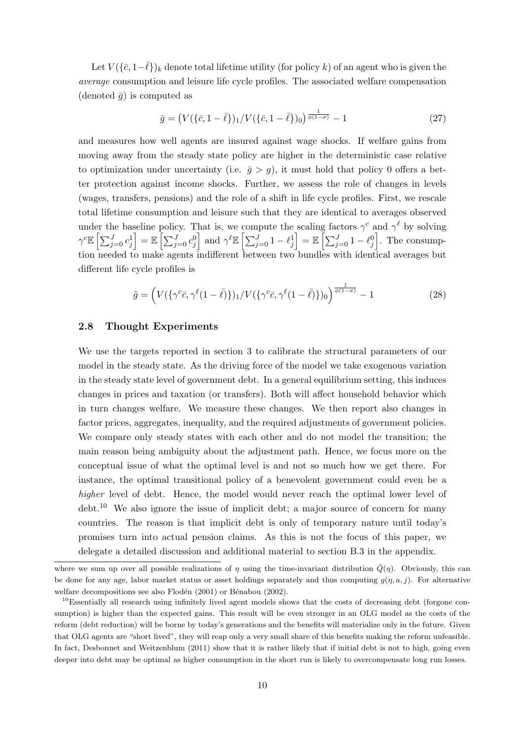Let  $V(\{\bar{c}, 1-\bar{\ell}\})_k$  denote total lifetime utility (for policy *k*) of an agent who is given the *average* consumption and leisure life cycle profiles. The associated welfare compensation (denoted  $\bar{q}$ ) is computed as

$$
\bar{g} = (V(\{\bar{c}, 1-\bar{\ell}\})_1 / V(\{\bar{c}, 1-\bar{\ell}\})_0)^{\frac{1}{\phi(1-\sigma)}} - 1 \tag{27}
$$

and measures how well agents are insured against wage shocks. If welfare gains from moving away from the steady state policy are higher in the deterministic case relative to optimization under uncertainty (i.e.  $\bar{g} > g$ ), it must hold that policy 0 offers a better protection against income shocks. Further, we assess the role of changes in levels (wages, transfers, pensions) and the role of a shift in life cycle profiles. First, we rescale total lifetime consumption and leisure such that they are identical to averages observed under the baseline policy. That is, we compute the scaling factors  $\gamma^c$  and  $\gamma^{\ell}$  by solving  $\gamma^c \mathbb{E} \left[ \sum_{j=0}^J c_j^1 \right]$  $\Big] = \mathbb{E} \Big[ \sum_{j=0}^J c_j^0 \Big]$ and  $\gamma^{\ell} \mathbb{E} \left[ \sum_{j=0}^{J} 1 - \ell_j^1 \right]$  $\Big] = \mathbb{E} \left[ \sum_{j=0}^J 1 - \ell_j^0 \right]$ ] . The consumption needed to make agents indifferent between two bundles with identical averages but different life cycle profiles is

$$
\tilde{g} = \left( V(\{\gamma^c \bar{c}, \gamma^{\ell} (1 - \bar{\ell})\})_1 / V(\{\gamma^c \bar{c}, \gamma^{\ell} (1 - \bar{\ell})\})_0 \right)^{\frac{1}{\phi(1 - \sigma)}} - 1 \tag{28}
$$

#### **2.8 Thought Experiments**

We use the targets reported in section 3 to calibrate the structural parameters of our model in the steady state. As the driving force of the model we take exogenous variation in the steady state level of government debt. In a general equilibrium setting, this induces changes in prices and taxation (or transfers). Both will affect household behavior which in turn changes welfare. We measure these changes. We then report also changes in factor prices, aggregates, inequality, and the required adjustments of government policies. We compare only steady states with each other and do not model the transition; the main reason being ambiguity about the adjustment path. Hence, we focus more on the conceptual issue of what the optimal level is and not so much how we get there. For instance, the optimal transitional policy of a benevolent government could even be a *higher* level of debt. Hence, the model would never reach the optimal lower level of  $\text{debt.}^{10}$  We also ignore the issue of implicit debt; a major source of concern for many countries. The reason is that implicit debt is only of temporary nature until today's promises turn into actual pension claims. As this is not the focus of this paper, we delegate a detailed discussion and additional material to section B.3 in the appendix.

where we sum up over all possible realizations of  $\eta$  using the time-invariant distribution  $\overline{Q}(\eta)$ . Obviously, this can be done for any age, labor market status or asset holdings separately and thus computing  $g(\eta, a, j)$ . For alternative welfare decompositions see also Flodén  $(2001)$  or Bénabou  $(2002)$ .

<sup>&</sup>lt;sup>10</sup>Essentially all research using infinitely lived agent models shows that the costs of decreasing debt (forgone consumption) is higher than the expected gains. This result will be even stronger in an OLG model as the costs of the reform (debt reduction) will be borne by today's generations and the benefits will materialize only in the future. Given that OLG agents are "short lived", they will reap only a very small share of this benefits making the reform unfeasible. In fact, Desbonnet and Weitzenblum (2011) show that it is rather likely that if initial debt is not to high, going even deeper into debt may be optimal as higher consumption in the short run is likely to overcompensate long run losses.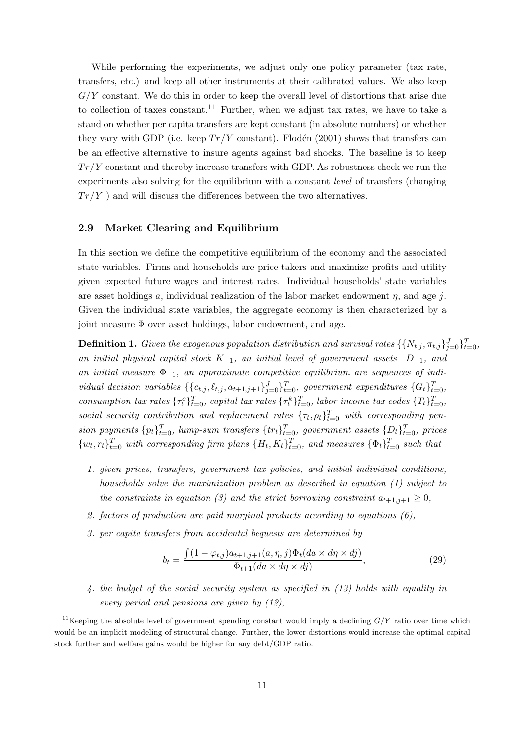While performing the experiments, we adjust only one policy parameter (tax rate, transfers, etc.) and keep all other instruments at their calibrated values. We also keep *G/Y* constant. We do this in order to keep the overall level of distortions that arise due to collection of taxes constant.<sup>11</sup> Further, when we adjust tax rates, we have to take a stand on whether per capita transfers are kept constant (in absolute numbers) or whether they vary with GDP (i.e. keep  $Tr/Y$  constant). Flodén (2001) shows that transfers can be an effective alternative to insure agents against bad shocks. The baseline is to keep *T r/Y* constant and thereby increase transfers with GDP. As robustness check we run the experiments also solving for the equilibrium with a constant *level* of transfers (changing  $Tr/Y$ ) and will discuss the differences between the two alternatives.

#### **2.9 Market Clearing and Equilibrium**

In this section we define the competitive equilibrium of the economy and the associated state variables. Firms and households are price takers and maximize profits and utility given expected future wages and interest rates. Individual households' state variables are asset holdings *a*, individual realization of the labor market endowment *η*, and age *j*. Given the individual state variables, the aggregate economy is then characterized by a joint measure  $\Phi$  over asset holdings, labor endowment, and age.

**Definition 1.** *Given the exogenous population distribution and survival rates*  $\{ \{N_{t,j}, \pi_{t,j}\}_{j=0}^J \}_{t=0}^T$ , *an initial physical capital stock K−*1*, an initial level of government assets D−*1*, and an initial measure* Φ*−*1*, an approximate competitive equilibrium are sequences of indi*vidual decision variables  $\{\{c_{t,j}, \ell_{t,j}, a_{t+1,j+1}\}_{j=0}^J\}_{t=0}^T$ , government expenditures  $\{G_t\}_{t=0}^T$ , consumption tax rates  $\{\tau_t^c\}_{t=0}^T$ , capital tax rates  $\{\tau_t^k\}_{t=0}^T$ , labor income tax codes  $\{\tau_t\}_{t=0}^T$ , *social security contribution and replacement rates*  $\{\tau_t, \rho_t\}_{t=0}^T$  *with corresponding pen*sion payments  $\{p_t\}_{t=0}^T$ , lump-sum transfers  $\{tr_t\}_{t=0}^T$ , government assets  $\{D_t\}_{t=0}^T$ , prices  $\{w_t, r_t\}_{t=0}^T$  with corresponding firm plans  $\{H_t, K_t\}_{t=0}^T$ , and measures  $\{\Phi_t\}_{t=0}^T$  such that

- *1. given prices, transfers, government tax policies, and initial individual conditions, households solve the maximization problem as described in equation (1) subject to the constraints in equation (3) and the strict borrowing constraint*  $a_{t+1,j+1} \geq 0$ ,
- *2. factors of production are paid marginal products according to equations (6),*
- *3. per capita transfers from accidental bequests are determined by*

$$
b_t = \frac{\int (1 - \varphi_{t,j}) a_{t+1,j+1}(a, \eta, j) \Phi_t(da \times d\eta \times dj)}{\Phi_{t+1}(da \times d\eta \times dj)},
$$
\n(29)

*4. the budget of the social security system as specified in (13) holds with equality in every period and pensions are given by (12),*

<sup>&</sup>lt;sup>11</sup>Keeping the absolute level of government spending constant would imply a declining  $G/Y$  ratio over time which would be an implicit modeling of structural change. Further, the lower distortions would increase the optimal capital stock further and welfare gains would be higher for any debt/GDP ratio.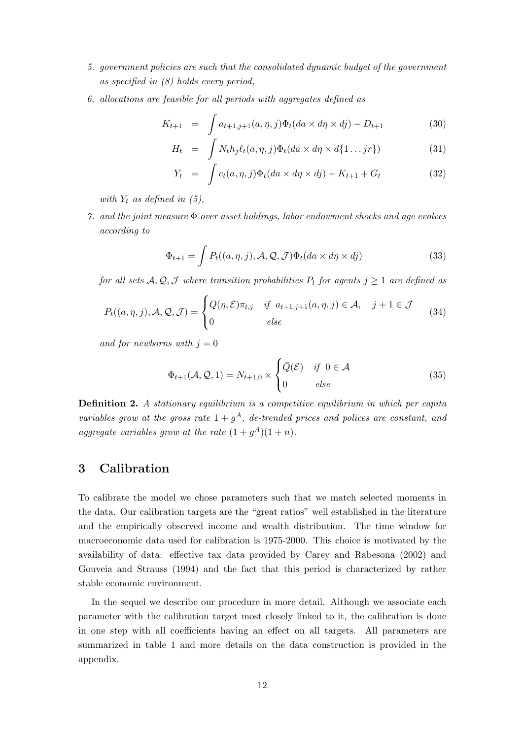- *5. government policies are such that the consolidated dynamic budget of the government as specified in (8) holds every period,*
- *6. allocations are feasible for all periods with aggregates defined as*

$$
K_{t+1} = \int a_{t+1,j+1}(a,\eta,j)\Phi_t(da \times d\eta \times dj) - D_{t+1}
$$
 (30)

$$
H_t = \int N_t h_j \ell_t(a, \eta, j) \Phi_t(da \times d\eta \times d\{1 \dots jr\}) \tag{31}
$$

$$
Y_t = \int c_t(a, \eta, j) \Phi_t(da \times d\eta \times dj) + K_{t+1} + G_t \tag{32}
$$

*with*  $Y_t$  *as defined in (5),* 

*7. and the joint measure* Φ *over asset holdings, labor endowment shocks and age evolves according to*

$$
\Phi_{t+1} = \int P_t((a, \eta, j), \mathcal{A}, \mathcal{Q}, \mathcal{J}) \Phi_t(da \times d\eta \times dj)
$$
\n(33)

*for all sets*  $A, Q, J$  *where transition probabilities*  $P_t$  *for agents*  $j \geq 1$  *are defined as* 

$$
P_t((a, \eta, j), \mathcal{A}, \mathcal{Q}, \mathcal{J}) = \begin{cases} Q(\eta, \mathcal{E})\pi_{t,j} & \text{if } a_{t+1,j+1}(a, \eta, j) \in \mathcal{A}, \quad j+1 \in \mathcal{J} \\ 0 & \text{else} \end{cases}
$$
(34)

*and for newborns with*  $j = 0$ 

$$
\Phi_{t+1}(\mathcal{A}, \mathcal{Q}, 1) = N_{t+1,0} \times \begin{cases} \bar{Q}(\mathcal{E}) & \text{if } 0 \in \mathcal{A} \\ 0 & \text{else} \end{cases}
$$
(35)

**Definition 2.** *A stationary equilibrium is a competitive equilibrium in which per capita variables grow at the gross rate*  $1 + g<sup>A</sup>$ *, de-trended prices and polices are constant, and* aggregate variables grow at the rate  $(1 + g<sup>A</sup>)(1 + n)$ .

## **3 Calibration**

To calibrate the model we chose parameters such that we match selected moments in the data. Our calibration targets are the "great ratios" well established in the literature and the empirically observed income and wealth distribution. The time window for macroeconomic data used for calibration is 1975-2000. This choice is motivated by the availability of data: effective tax data provided by Carey and Rabesona (2002) and Gouveia and Strauss (1994) and the fact that this period is characterized by rather stable economic environment.

In the sequel we describe our procedure in more detail. Although we associate each parameter with the calibration target most closely linked to it, the calibration is done in one step with all coefficients having an effect on all targets. All parameters are summarized in table 1 and more details on the data construction is provided in the appendix.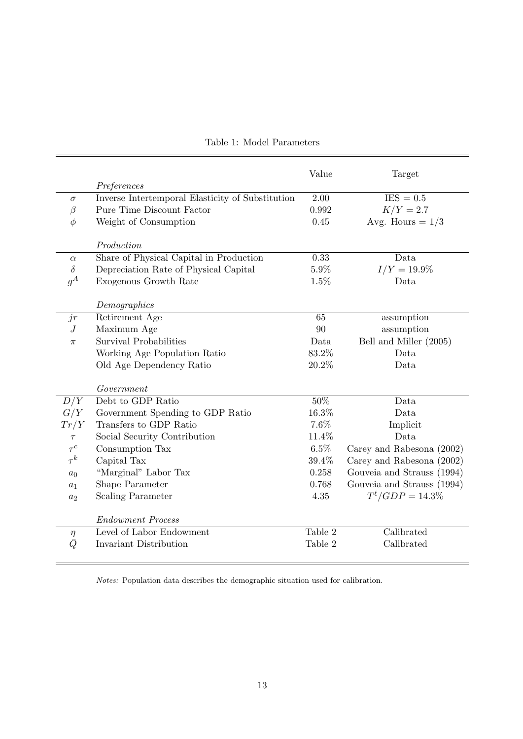|                |                                                  | Value   | Target                     |
|----------------|--------------------------------------------------|---------|----------------------------|
|                | Preferences                                      |         |                            |
| $\sigma$       | Inverse Intertemporal Elasticity of Substitution | 2.00    | $IES = 0.5$                |
| $\beta$        | Pure Time Discount Factor                        | 0.992   | $K/Y = 2.7$                |
| $\phi$         | Weight of Consumption                            | 0.45    | Avg. Hours = $1/3$         |
|                |                                                  |         |                            |
|                | Production                                       |         |                            |
| $\alpha$       | Share of Physical Capital in Production          | 0.33    | Data                       |
| $\delta$       | Depreciation Rate of Physical Capital            | $5.9\%$ | $I/Y = 19.9\%$             |
| $g^A$          | Exogenous Growth Rate                            | 1.5%    | Data                       |
|                |                                                  |         |                            |
| jr             | Demographics<br>Retirement Age                   | 65      | assumption                 |
| $\overline{J}$ | Maximum Age                                      | 90      | assumption                 |
|                | Survival Probabilities                           | Data    | Bell and Miller (2005)     |
| $\pi$          |                                                  | 83.2%   | Data                       |
|                | Working Age Population Ratio                     |         |                            |
|                | Old Age Dependency Ratio                         | 20.2%   | Data                       |
|                | Government                                       |         |                            |
| D/Y            | Debt to GDP Ratio                                | 50%     | Data                       |
| G/Y            | Government Spending to GDP Ratio                 | 16.3%   | Data                       |
| Tr/Y           | Transfers to GDP Ratio                           | 7.6%    | Implicit                   |
| $\tau$         | Social Security Contribution                     | 11.4%   | Data                       |
| $\tau^c$       | Consumption Tax                                  | $6.5\%$ | Carey and Rabesona (2002)  |
| $\tau^k$       | Capital Tax                                      | 39.4%   | Carey and Rabesona (2002)  |
| $a_0$          | "Marginal" Labor Tax                             | 0.258   | Gouveia and Strauss (1994) |
| $a_1$          | Shape Parameter                                  | 0.768   | Gouveia and Strauss (1994) |
| $a_2$          | <b>Scaling Parameter</b>                         | 4.35    | $T^{l}/GDP = 14.3\%$       |
|                | <b>Endowment Process</b>                         |         |                            |
| $\eta$         | Level of Labor Endowment                         | Table 2 | Calibrated                 |
| $\bar{Q}$      | Invariant Distribution                           | Table 2 | Calibrated                 |
|                |                                                  |         |                            |

*Notes:* Population data describes the demographic situation used for calibration.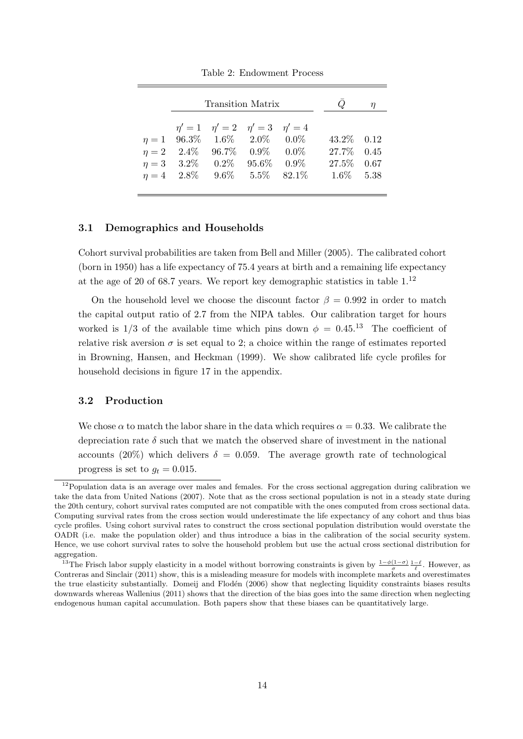|                                                                        | Transition Matrix                               |  |                                                                            |                                                          |  |
|------------------------------------------------------------------------|-------------------------------------------------|--|----------------------------------------------------------------------------|----------------------------------------------------------|--|
| $\eta = 1$ 96.3\% 1.6\% 2.0\% 0.0\%<br>$\eta = 4$ 2.8% 9.6% 5.5% 82.1% | $\eta' = 1$ $\eta' = 2$ $\eta' = 3$ $\eta' = 4$ |  | $\eta = 2$ 2.4\% 96.7\% 0.9\% 0.0\%<br>$\eta = 3$ 3.2\% 0.2\% 95.6\% 0.9\% | 43.2\% 0.12<br>27.7% 0.45<br>27.5\% 0.67<br>$1.6\%$ 5.38 |  |

Table 2: Endowment Process

#### **3.1 Demographics and Households**

Cohort survival probabilities are taken from Bell and Miller (2005). The calibrated cohort (born in 1950) has a life expectancy of 75.4 years at birth and a remaining life expectancy at the age of 20 of 68.7 years. We report key demographic statistics in table 1.<sup>12</sup>

On the household level we choose the discount factor  $\beta = 0.992$  in order to match the capital output ratio of 2.7 from the NIPA tables. Our calibration target for hours worked is  $1/3$  of the available time which pins down  $\phi = 0.45^{13}$  The coefficient of relative risk aversion  $\sigma$  is set equal to 2; a choice within the range of estimates reported in Browning, Hansen, and Heckman (1999). We show calibrated life cycle profiles for household decisions in figure 17 in the appendix.

#### **3.2 Production**

We chose  $\alpha$  to match the labor share in the data which requires  $\alpha = 0.33$ . We calibrate the depreciation rate  $\delta$  such that we match the observed share of investment in the national accounts (20%) which delivers  $\delta = 0.059$ . The average growth rate of technological progress is set to  $g_t = 0.015$ .

 $12$ Population data is an average over males and females. For the cross sectional aggregation during calibration we take the data from United Nations (2007). Note that as the cross sectional population is not in a steady state during the 20th century, cohort survival rates computed are not compatible with the ones computed from cross sectional data. Computing survival rates from the cross section would underestimate the life expectancy of any cohort and thus bias cycle profiles. Using cohort survival rates to construct the cross sectional population distribution would overstate the OADR (i.e. make the population older) and thus introduce a bias in the calibration of the social security system. Hence, we use cohort survival rates to solve the household problem but use the actual cross sectional distribution for aggregation.

<sup>&</sup>lt;sup>13</sup>The Frisch labor supply elasticity in a model without borrowing constraints is given by  $\frac{1-\phi(1-\sigma)}{\sigma}\frac{1-\ell}{\ell}$ . However, as Contreras and Sinclair (2011) show, this is a misleading measure for models with incomplete markets and overestimates the true elasticity substantially. Domeij and Flodén (2006) show that neglecting liquidity constraints biases results downwards whereas Wallenius (2011) shows that the direction of the bias goes into the same direction when neglecting endogenous human capital accumulation. Both papers show that these biases can be quantitatively large.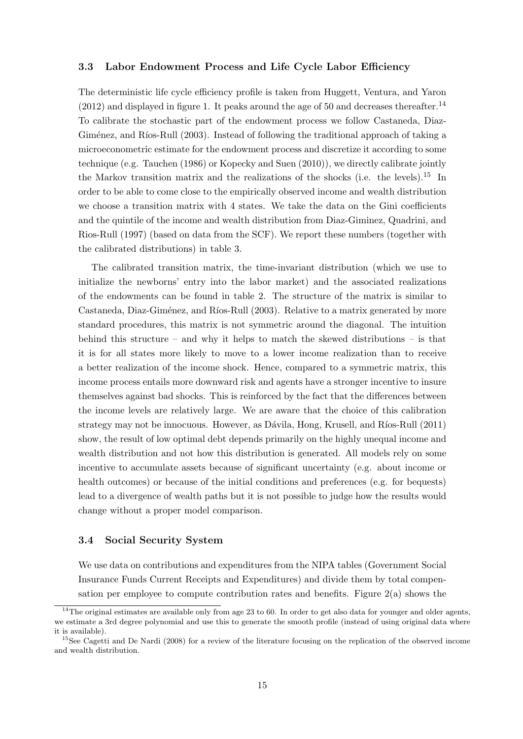#### **3.3 Labor Endowment Process and Life Cycle Labor Efficiency**

The deterministic life cycle efficiency profile is taken from Huggett, Ventura, and Yaron  $(2012)$  and displayed in figure 1. It peaks around the age of 50 and decreases thereafter.<sup>14</sup> To calibrate the stochastic part of the endowment process we follow Castaneda, Diaz-Giménez, and Ríos-Rull (2003). Instead of following the traditional approach of taking a microeconometric estimate for the endowment process and discretize it according to some technique (e.g. Tauchen (1986) or Kopecky and Suen (2010)), we directly calibrate jointly the Markov transition matrix and the realizations of the shocks (i.e. the levels).<sup>15</sup> In order to be able to come close to the empirically observed income and wealth distribution we choose a transition matrix with 4 states. We take the data on the Gini coefficients and the quintile of the income and wealth distribution from Diaz-Giminez, Quadrini, and Rios-Rull (1997) (based on data from the SCF). We report these numbers (together with the calibrated distributions) in table 3.

The calibrated transition matrix, the time-invariant distribution (which we use to initialize the newborns' entry into the labor market) and the associated realizations of the endowments can be found in table 2. The structure of the matrix is similar to Castaneda, Diaz-Giménez, and Ríos-Rull (2003). Relative to a matrix generated by more standard procedures, this matrix is not symmetric around the diagonal. The intuition behind this structure – and why it helps to match the skewed distributions – is that it is for all states more likely to move to a lower income realization than to receive a better realization of the income shock. Hence, compared to a symmetric matrix, this income process entails more downward risk and agents have a stronger incentive to insure themselves against bad shocks. This is reinforced by the fact that the differences between the income levels are relatively large. We are aware that the choice of this calibration strategy may not be innocuous. However, as Dávila, Hong, Krusell, and Ríos-Rull (2011) show, the result of low optimal debt depends primarily on the highly unequal income and wealth distribution and not how this distribution is generated. All models rely on some incentive to accumulate assets because of significant uncertainty (e.g. about income or health outcomes) or because of the initial conditions and preferences (e.g. for bequests) lead to a divergence of wealth paths but it is not possible to judge how the results would change without a proper model comparison.

#### **3.4 Social Security System**

We use data on contributions and expenditures from the NIPA tables (Government Social Insurance Funds Current Receipts and Expenditures) and divide them by total compensation per employee to compute contribution rates and benefits. Figure 2(a) shows the

<sup>&</sup>lt;sup>14</sup>The original estimates are available only from age  $23$  to 60. In order to get also data for younger and older agents, we estimate a 3rd degree polynomial and use this to generate the smooth profile (instead of using original data where it is available).

<sup>&</sup>lt;sup>15</sup>See Cagetti and De Nardi (2008) for a review of the literature focusing on the replication of the observed income and wealth distribution.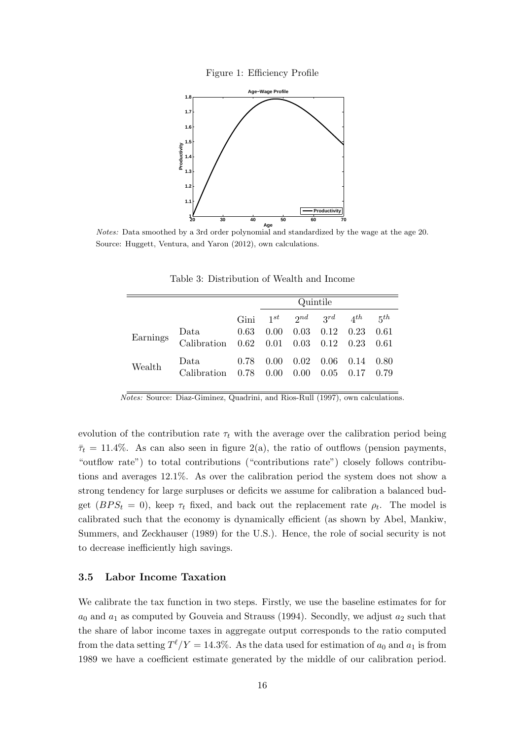



*Notes:* Data smoothed by a 3rd order polynomial and standardized by the wage at the age 20. Source: Huggett, Ventura, and Yaron (2012), own calculations.

|          |                                                   |      | Quintile |                             |                              |      |        |
|----------|---------------------------------------------------|------|----------|-----------------------------|------------------------------|------|--------|
|          |                                                   | Gini | $1^{st}$ |                             | $2^{nd}$ $3^{rd}$ $4^{th}$   |      | 5th    |
| Earnings | Data<br>Calibration 0.62 0.01 0.03 0.12 0.23 0.61 | 0.63 | 0.00     |                             | $0.03 \quad 0.12 \quad 0.23$ |      | -0.61  |
| Wealth   | Data<br>Calibration 0.78 0.00                     | 0.78 | 0.00     | $0.02 \quad 0.06$<br>- 0.00 | $0.05$ $0.17$ $0.79$         | 0.14 | - 0.80 |

Table 3: Distribution of Wealth and Income

*Notes:* Source: Diaz-Giminez, Quadrini, and Rios-Rull (1997), own calculations.

evolution of the contribution rate  $\tau_t$  with the average over the calibration period being  $\bar{\tau}_t = 11.4\%$ . As can also seen in figure 2(a), the ratio of outflows (pension payments, "outflow rate") to total contributions ("contributions rate") closely follows contributions and averages 12*.*1%. As over the calibration period the system does not show a strong tendency for large surpluses or deficits we assume for calibration a balanced budget  $(BPS_t = 0)$ , keep  $\tau_t$  fixed, and back out the replacement rate  $\rho_t$ . The model is calibrated such that the economy is dynamically efficient (as shown by Abel, Mankiw, Summers, and Zeckhauser (1989) for the U.S.). Hence, the role of social security is not to decrease inefficiently high savings.

#### **3.5 Labor Income Taxation**

We calibrate the tax function in two steps. Firstly, we use the baseline estimates for for  $a_0$  and  $a_1$  as computed by Gouveia and Strauss (1994). Secondly, we adjust  $a_2$  such that the share of labor income taxes in aggregate output corresponds to the ratio computed from the data setting  $T^{\ell}/Y = 14.3\%$ . As the data used for estimation of  $a_0$  and  $a_1$  is from 1989 we have a coefficient estimate generated by the middle of our calibration period.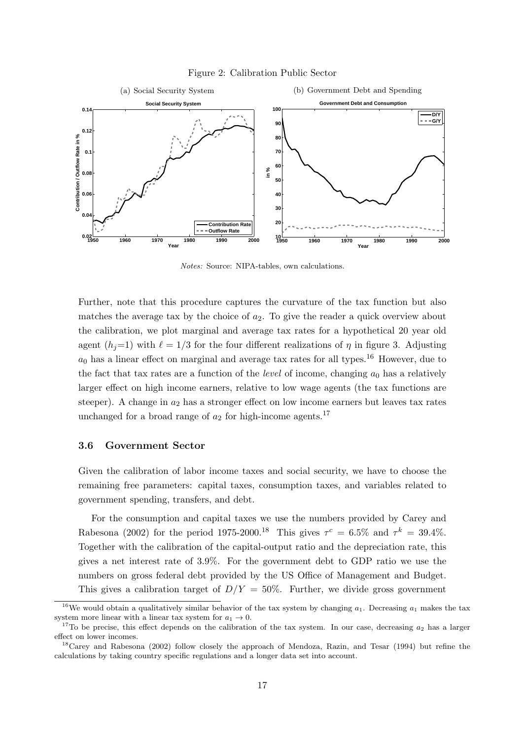



*Notes:* Source: NIPA-tables, own calculations.

Further, note that this procedure captures the curvature of the tax function but also matches the average tax by the choice of *a*2. To give the reader a quick overview about the calibration, we plot marginal and average tax rates for a hypothetical 20 year old agent  $(h_i=1)$  with  $\ell=1/3$  for the four different realizations of  $\eta$  in figure 3. Adjusting  $a_0$  has a linear effect on marginal and average tax rates for all types.<sup>16</sup> However, due to the fact that tax rates are a function of the *level* of income, changing  $a_0$  has a relatively larger effect on high income earners, relative to low wage agents (the tax functions are steeper). A change in *a*<sup>2</sup> has a stronger effect on low income earners but leaves tax rates unchanged for a broad range of  $a_2$  for high-income agents.<sup>17</sup>

#### **3.6 Government Sector**

Given the calibration of labor income taxes and social security, we have to choose the remaining free parameters: capital taxes, consumption taxes, and variables related to government spending, transfers, and debt.

For the consumption and capital taxes we use the numbers provided by Carey and Rabesona (2002) for the period 1975-2000.<sup>18</sup> This gives  $\tau^c = 6.5\%$  and  $\tau^k = 39.4\%$ . Together with the calibration of the capital-output ratio and the depreciation rate, this gives a net interest rate of 3.9%. For the government debt to GDP ratio we use the numbers on gross federal debt provided by the US Office of Management and Budget. This gives a calibration target of  $D/Y = 50\%$ . Further, we divide gross government

<sup>&</sup>lt;sup>16</sup>We would obtain a qualitatively similar behavior of the tax system by changing  $a_1$ . Decreasing  $a_1$  makes the tax system more linear with a linear tax system for  $a_1 \rightarrow 0$ .

<sup>&</sup>lt;sup>17</sup>To be precise, this effect depends on the calibration of the tax system. In our case, decreasing  $a_2$  has a larger effect on lower incomes.

<sup>&</sup>lt;sup>18</sup>Carey and Rabesona (2002) follow closely the approach of Mendoza, Razin, and Tesar (1994) but refine the calculations by taking country specific regulations and a longer data set into account.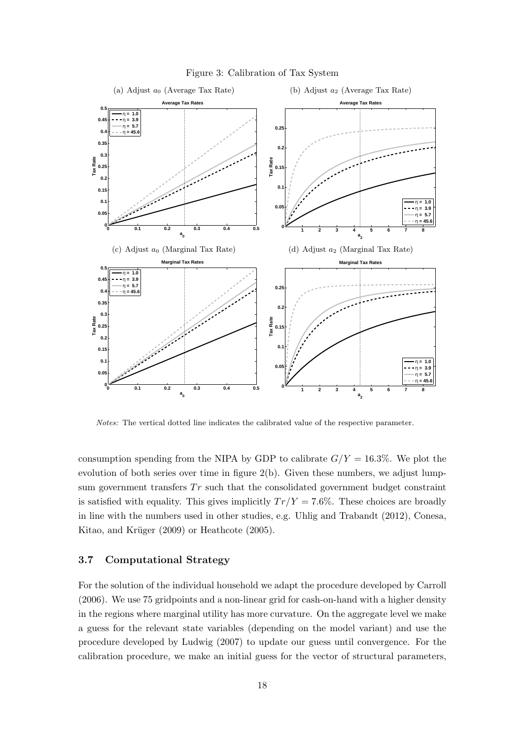

Figure 3: Calibration of Tax System

*Notes:* The vertical dotted line indicates the calibrated value of the respective parameter.

consumption spending from the NIPA by GDP to calibrate  $G/Y = 16.3\%$ . We plot the evolution of both series over time in figure 2(b). Given these numbers, we adjust lumpsum government transfers  $Tr$  such that the consolidated government budget constraint is satisfied with equality. This gives implicitly  $Tr/Y = 7.6\%$ . These choices are broadly in line with the numbers used in other studies, e.g. Uhlig and Trabandt (2012), Conesa, Kitao, and Krüger (2009) or Heathcote (2005).

#### **3.7 Computational Strategy**

For the solution of the individual household we adapt the procedure developed by Carroll (2006). We use 75 gridpoints and a non-linear grid for cash-on-hand with a higher density in the regions where marginal utility has more curvature. On the aggregate level we make a guess for the relevant state variables (depending on the model variant) and use the procedure developed by Ludwig (2007) to update our guess until convergence. For the calibration procedure, we make an initial guess for the vector of structural parameters,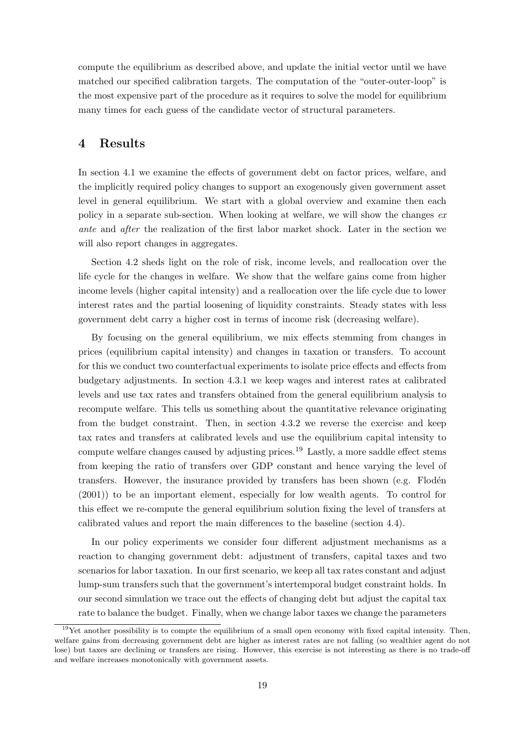compute the equilibrium as described above, and update the initial vector until we have matched our specified calibration targets. The computation of the "outer-outer-loop" is the most expensive part of the procedure as it requires to solve the model for equilibrium many times for each guess of the candidate vector of structural parameters.

## **4 Results**

In section 4.1 we examine the effects of government debt on factor prices, welfare, and the implicitly required policy changes to support an exogenously given government asset level in general equilibrium. We start with a global overview and examine then each policy in a separate sub-section. When looking at welfare, we will show the changes *ex ante* and *after* the realization of the first labor market shock. Later in the section we will also report changes in aggregates.

Section 4.2 sheds light on the role of risk, income levels, and reallocation over the life cycle for the changes in welfare. We show that the welfare gains come from higher income levels (higher capital intensity) and a reallocation over the life cycle due to lower interest rates and the partial loosening of liquidity constraints. Steady states with less government debt carry a higher cost in terms of income risk (decreasing welfare).

By focusing on the general equilibrium, we mix effects stemming from changes in prices (equilibrium capital intensity) and changes in taxation or transfers. To account for this we conduct two counterfactual experiments to isolate price effects and effects from budgetary adjustments. In section 4.3.1 we keep wages and interest rates at calibrated levels and use tax rates and transfers obtained from the general equilibrium analysis to recompute welfare. This tells us something about the quantitative relevance originating from the budget constraint. Then, in section 4.3.2 we reverse the exercise and keep tax rates and transfers at calibrated levels and use the equilibrium capital intensity to compute welfare changes caused by adjusting prices.<sup>19</sup> Lastly, a more saddle effect stems from keeping the ratio of transfers over GDP constant and hence varying the level of transfers. However, the insurance provided by transfers has been shown (e.g. Flodén (2001)) to be an important element, especially for low wealth agents. To control for this effect we re-compute the general equilibrium solution fixing the level of transfers at calibrated values and report the main differences to the baseline (section 4.4).

In our policy experiments we consider four different adjustment mechanisms as a reaction to changing government debt: adjustment of transfers, capital taxes and two scenarios for labor taxation. In our first scenario, we keep all tax rates constant and adjust lump-sum transfers such that the government's intertemporal budget constraint holds. In our second simulation we trace out the effects of changing debt but adjust the capital tax rate to balance the budget. Finally, when we change labor taxes we change the parameters

 $19$ Yet another possibility is to compte the equilibrium of a small open economy with fixed capital intensity. Then, welfare gains from decreasing government debt are higher as interest rates are not falling (so wealthier agent do not lose) but taxes are declining or transfers are rising. However, this exercise is not interesting as there is no trade-off and welfare increases monotonically with government assets.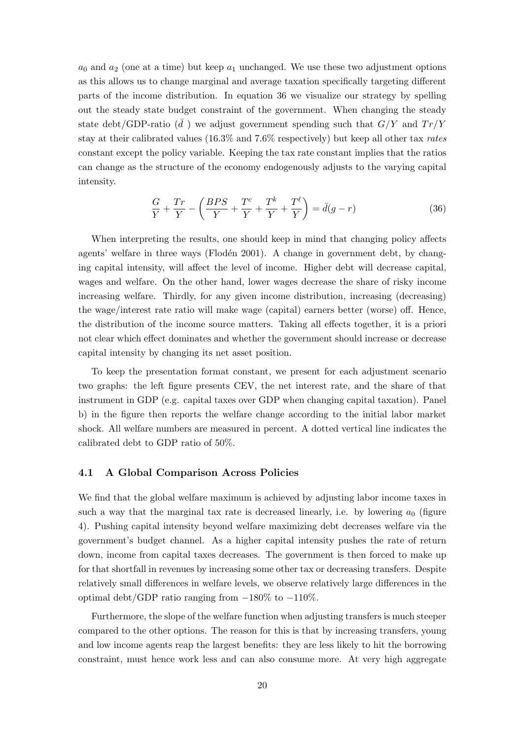$a_0$  and  $a_2$  (one at a time) but keep  $a_1$  unchanged. We use these two adjustment options as this allows us to change marginal and average taxation specifically targeting different parts of the income distribution. In equation 36 we visualize our strategy by spelling out the steady state budget constraint of the government. When changing the steady state debt/GDP-ratio  $(\bar{d})$  we adjust government spending such that  $G/Y$  and  $Tr/Y$ stay at their calibrated values (16.3% and 7.6% respectively) but keep all other tax *rates* constant except the policy variable. Keeping the tax rate constant implies that the ratios can change as the structure of the economy endogenously adjusts to the varying capital intensity.

$$
\frac{G}{Y} + \frac{Tr}{Y} - \left(\frac{BPS}{Y} + \frac{T^c}{Y} + \frac{T^k}{Y} + \frac{T^\ell}{Y}\right) = \bar{d}(g - r)
$$
\n(36)

When interpreting the results, one should keep in mind that changing policy affects agents' welfare in three ways (Flodén 2001). A change in government debt, by changing capital intensity, will affect the level of income. Higher debt will decrease capital, wages and welfare. On the other hand, lower wages decrease the share of risky income increasing welfare. Thirdly, for any given income distribution, increasing (decreasing) the wage/interest rate ratio will make wage (capital) earners better (worse) off. Hence, the distribution of the income source matters. Taking all effects together, it is a priori not clear which effect dominates and whether the government should increase or decrease capital intensity by changing its net asset position.

To keep the presentation format constant, we present for each adjustment scenario two graphs: the left figure presents CEV, the net interest rate, and the share of that instrument in GDP (e.g. capital taxes over GDP when changing capital taxation). Panel b) in the figure then reports the welfare change according to the initial labor market shock. All welfare numbers are measured in percent. A dotted vertical line indicates the calibrated debt to GDP ratio of 50%.

#### **4.1 A Global Comparison Across Policies**

We find that the global welfare maximum is achieved by adjusting labor income taxes in such a way that the marginal tax rate is decreased linearly, i.e. by lowering  $a_0$  (figure 4). Pushing capital intensity beyond welfare maximizing debt decreases welfare via the government's budget channel. As a higher capital intensity pushes the rate of return down, income from capital taxes decreases. The government is then forced to make up for that shortfall in revenues by increasing some other tax or decreasing transfers. Despite relatively small differences in welfare levels, we observe relatively large differences in the optimal debt/GDP ratio ranging from *−*180% to *−*110%.

Furthermore, the slope of the welfare function when adjusting transfers is much steeper compared to the other options. The reason for this is that by increasing transfers, young and low income agents reap the largest benefits: they are less likely to hit the borrowing constraint, must hence work less and can also consume more. At very high aggregate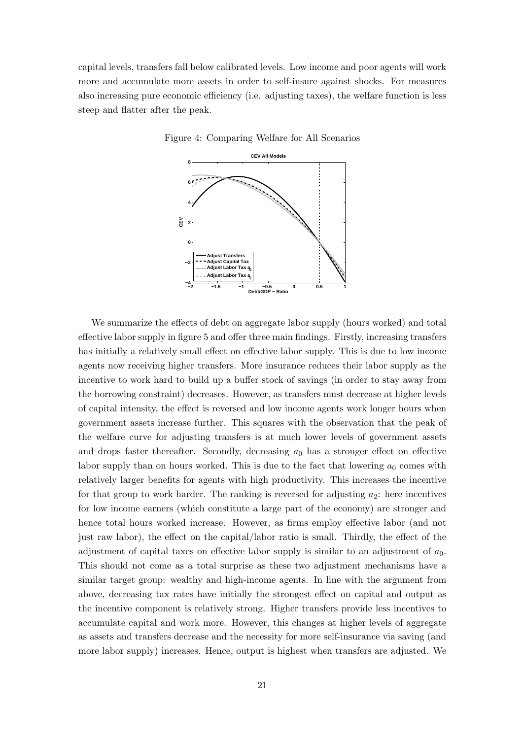capital levels, transfers fall below calibrated levels. Low income and poor agents will work more and accumulate more assets in order to self-insure against shocks. For measures also increasing pure economic efficiency (i.e. adjusting taxes), the welfare function is less steep and flatter after the peak.



Figure 4: Comparing Welfare for All Scenarios

We summarize the effects of debt on aggregate labor supply (hours worked) and total effective labor supply in figure 5 and offer three main findings. Firstly, increasing transfers has initially a relatively small effect on effective labor supply. This is due to low income agents now receiving higher transfers. More insurance reduces their labor supply as the incentive to work hard to build up a buffer stock of savings (in order to stay away from the borrowing constraint) decreases. However, as transfers must decrease at higher levels of capital intensity, the effect is reversed and low income agents work longer hours when government assets increase further. This squares with the observation that the peak of the welfare curve for adjusting transfers is at much lower levels of government assets and drops faster thereafter. Secondly, decreasing *a*<sup>0</sup> has a stronger effect on effective labor supply than on hours worked. This is due to the fact that lowering  $a_0$  comes with relatively larger benefits for agents with high productivity. This increases the incentive for that group to work harder. The ranking is reversed for adjusting  $a_2$ : here incentives for low income earners (which constitute a large part of the economy) are stronger and hence total hours worked increase. However, as firms employ effective labor (and not just raw labor), the effect on the capital/labor ratio is small. Thirdly, the effect of the adjustment of capital taxes on effective labor supply is similar to an adjustment of *a*0. This should not come as a total surprise as these two adjustment mechanisms have a similar target group: wealthy and high-income agents. In line with the argument from above, decreasing tax rates have initially the strongest effect on capital and output as the incentive component is relatively strong. Higher transfers provide less incentives to accumulate capital and work more. However, this changes at higher levels of aggregate as assets and transfers decrease and the necessity for more self-insurance via saving (and more labor supply) increases. Hence, output is highest when transfers are adjusted. We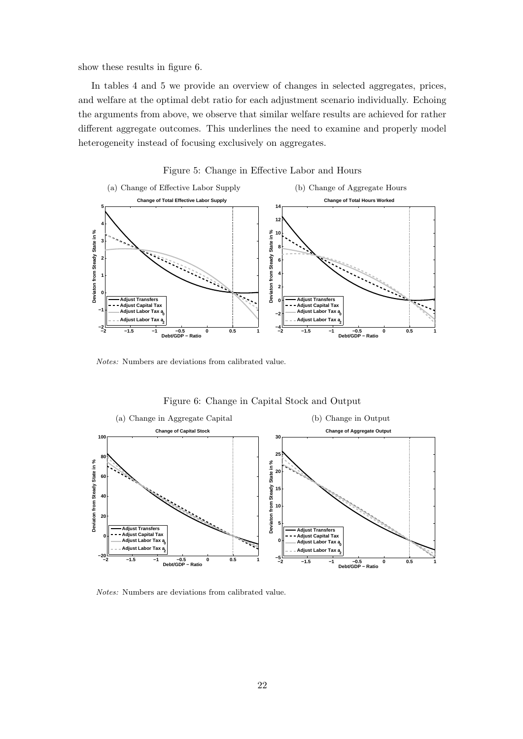show these results in figure 6.

In tables 4 and 5 we provide an overview of changes in selected aggregates, prices, and welfare at the optimal debt ratio for each adjustment scenario individually. Echoing the arguments from above, we observe that similar welfare results are achieved for rather different aggregate outcomes. This underlines the need to examine and properly model heterogeneity instead of focusing exclusively on aggregates.



Figure 5: Change in Effective Labor and Hours

*Notes:* Numbers are deviations from calibrated value.



Figure 6: Change in Capital Stock and Output

*Notes:* Numbers are deviations from calibrated value.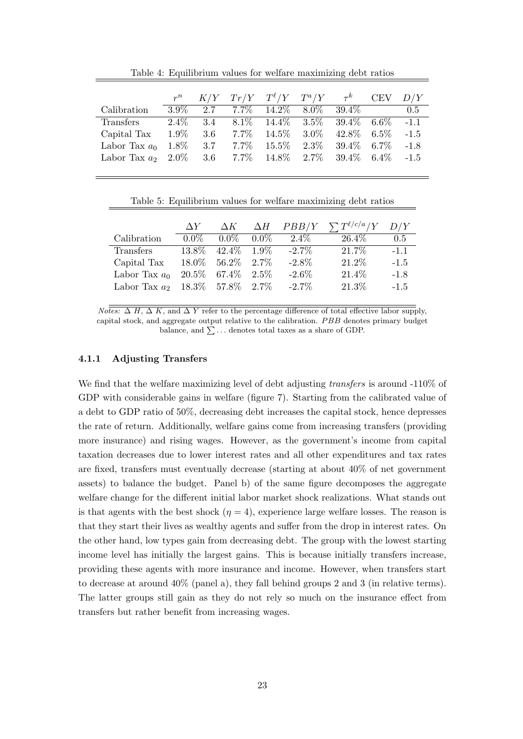|                      | $r^n$   |         |         | $K/Y$ $Tr/Y$ $T^{\ell}/Y$ $T^a/Y$ |         | $\tau^{k}$ | <b>CEV</b> | D/Y    |
|----------------------|---------|---------|---------|-----------------------------------|---------|------------|------------|--------|
| Calibration          | $3.9\%$ | 2.7     | $7.7\%$ | $14.2\%$                          | $8.0\%$ | 39.4\%     |            | 0.5    |
| <b>Transfers</b>     | $2.4\%$ | 3.4     | $8.1\%$ | $14.4\%$ $3.5\%$                  |         | $39.4\%$   | $6.6\%$    | $-1.1$ |
| Capital Tax          | $1.9\%$ | $3.6\,$ | $7.7\%$ | $14.5\%$                          | $3.0\%$ | 42.8%      | $6.5\%$    | $-1.5$ |
| Labor Tax $a_0$      | $1.8\%$ | 3.7     | $7.7\%$ | $15.5\%$                          | $2.3\%$ | $39.4\%$   | 6.7\%      | $-1.8$ |
| Labor Tax $a_2$ 2.0% |         | 3.6     | $7.7\%$ | $14.8\%$                          | $2.7\%$ | 39.4%      | $6.4\%$    | $-1.5$ |

Table 4: Equilibrium values for welfare maximizing debt ratios

| Table 5: Equilibrium values for welfare maximizing debt ratios |  |  |  |
|----------------------------------------------------------------|--|--|--|
|                                                                |  |  |  |

|                                     | $\Delta Y$ | $\Delta K$            |         | $\Delta H$ $PBB/Y$ | $\sum T^{\ell/c/a}/Y$ | D/Y    |
|-------------------------------------|------------|-----------------------|---------|--------------------|-----------------------|--------|
| Calibration                         | $0.0\%$    | $0.0\%$               | $0.0\%$ | $2.4\%$            | 26.4\%                | 0.5    |
| Transfers                           | 13.8%      | $42.4\%$ 1.9%         |         | $-2.7\%$           | 21.7%                 | $-1.1$ |
| Capital Tax                         |            | $18.0\%$ 56.2\% 2.7\% |         | $-2.8\%$           | 21.2%                 | $-1.5$ |
| Labor Tax $a_0$                     |            | $20.5\%$ 67.4\% 2.5\% |         | $-2.6\%$           | 21.4%                 | $-1.8$ |
| Labor Tax $a_2$ 18.3\% 57.8\% 2.7\% |            |                       |         | $-2.7\%$           | 21.3%                 | $-1.5$ |

 $N$  $\overline{otes: \Delta H, \Delta K}$ , and  $\Delta Y$  refer to the percentage difference of total effective labor supply, capital stock, and aggregate output relative to the calibration. *P BB* denotes primary budget balance, and  $\sum \ldots$  denotes total taxes as a share of GDP.

#### **4.1.1 Adjusting Transfers**

We find that the welfare maximizing level of debt adjusting *transfers* is around -110% of GDP with considerable gains in welfare (figure 7). Starting from the calibrated value of a debt to GDP ratio of 50%, decreasing debt increases the capital stock, hence depresses the rate of return. Additionally, welfare gains come from increasing transfers (providing more insurance) and rising wages. However, as the government's income from capital taxation decreases due to lower interest rates and all other expenditures and tax rates are fixed, transfers must eventually decrease (starting at about 40% of net government assets) to balance the budget. Panel b) of the same figure decomposes the aggregate welfare change for the different initial labor market shock realizations. What stands out is that agents with the best shock  $(\eta = 4)$ , experience large welfare losses. The reason is that they start their lives as wealthy agents and suffer from the drop in interest rates. On the other hand, low types gain from decreasing debt. The group with the lowest starting income level has initially the largest gains. This is because initially transfers increase, providing these agents with more insurance and income. However, when transfers start to decrease at around 40% (panel a), they fall behind groups 2 and 3 (in relative terms). The latter groups still gain as they do not rely so much on the insurance effect from transfers but rather benefit from increasing wages.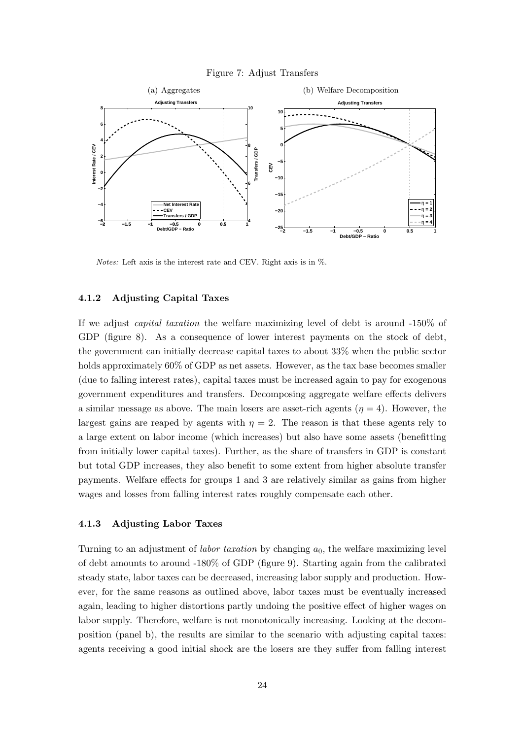#### Figure 7: Adjust Transfers



*Notes:* Left axis is the interest rate and CEV. Right axis is in %.

#### **4.1.2 Adjusting Capital Taxes**

If we adjust *capital taxation* the welfare maximizing level of debt is around -150% of GDP (figure 8). As a consequence of lower interest payments on the stock of debt, the government can initially decrease capital taxes to about 33% when the public sector holds approximately  $60\%$  of GDP as net assets. However, as the tax base becomes smaller (due to falling interest rates), capital taxes must be increased again to pay for exogenous government expenditures and transfers. Decomposing aggregate welfare effects delivers a similar message as above. The main losers are asset-rich agents  $(\eta = 4)$ . However, the largest gains are reaped by agents with  $\eta = 2$ . The reason is that these agents rely to a large extent on labor income (which increases) but also have some assets (benefitting from initially lower capital taxes). Further, as the share of transfers in GDP is constant but total GDP increases, they also benefit to some extent from higher absolute transfer payments. Welfare effects for groups 1 and 3 are relatively similar as gains from higher wages and losses from falling interest rates roughly compensate each other.

#### **4.1.3 Adjusting Labor Taxes**

Turning to an adjustment of *labor taxation* by changing *a*0, the welfare maximizing level of debt amounts to around -180% of GDP (figure 9). Starting again from the calibrated steady state, labor taxes can be decreased, increasing labor supply and production. However, for the same reasons as outlined above, labor taxes must be eventually increased again, leading to higher distortions partly undoing the positive effect of higher wages on labor supply. Therefore, welfare is not monotonically increasing. Looking at the decomposition (panel b), the results are similar to the scenario with adjusting capital taxes: agents receiving a good initial shock are the losers are they suffer from falling interest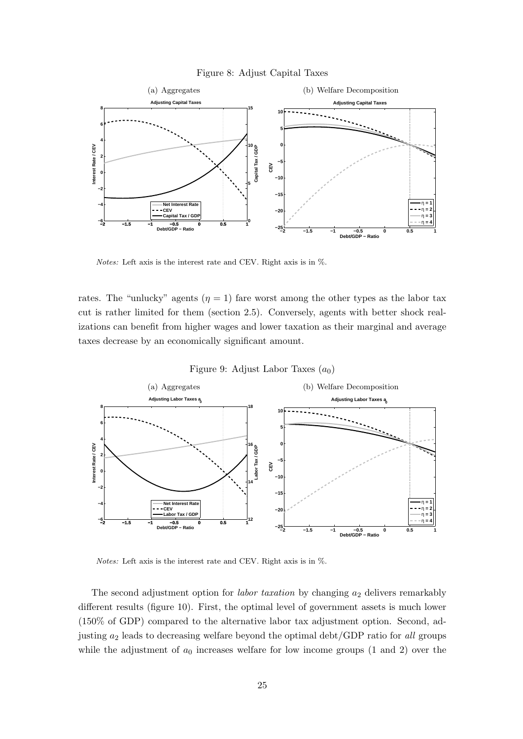#### Figure 8: Adjust Capital Taxes



*Notes:* Left axis is the interest rate and CEV. Right axis is in %.

rates. The "unlucky" agents  $(\eta = 1)$  fare worst among the other types as the labor tax cut is rather limited for them (section 2.5). Conversely, agents with better shock realizations can benefit from higher wages and lower taxation as their marginal and average taxes decrease by an economically significant amount.





*Notes:* Left axis is the interest rate and CEV. Right axis is in %.

The second adjustment option for *labor taxation* by changing *a*<sup>2</sup> delivers remarkably different results (figure 10). First, the optimal level of government assets is much lower (150% of GDP) compared to the alternative labor tax adjustment option. Second, adjusting *a*<sup>2</sup> leads to decreasing welfare beyond the optimal debt/GDP ratio for *all* groups while the adjustment of  $a_0$  increases welfare for low income groups  $(1 \text{ and } 2)$  over the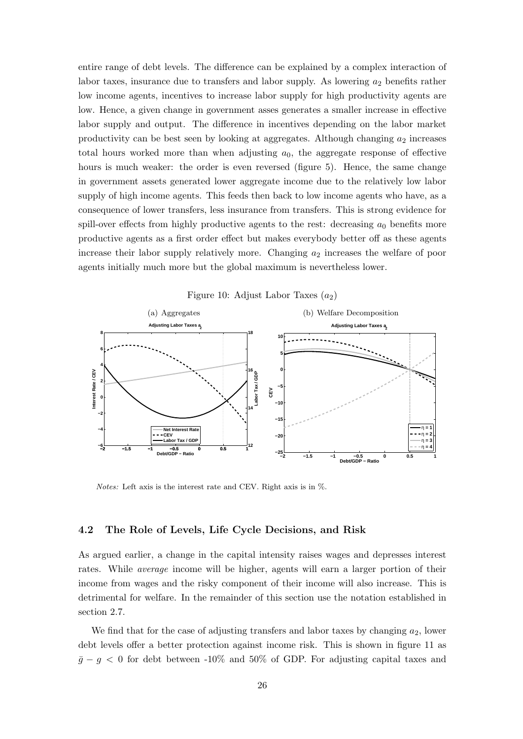entire range of debt levels. The difference can be explained by a complex interaction of labor taxes, insurance due to transfers and labor supply. As lowering  $a_2$  benefits rather low income agents, incentives to increase labor supply for high productivity agents are low. Hence, a given change in government asses generates a smaller increase in effective labor supply and output. The difference in incentives depending on the labor market productivity can be best seen by looking at aggregates. Although changing *a*<sup>2</sup> increases total hours worked more than when adjusting  $a_0$ , the aggregate response of effective hours is much weaker: the order is even reversed (figure 5). Hence, the same change in government assets generated lower aggregate income due to the relatively low labor supply of high income agents. This feeds then back to low income agents who have, as a consequence of lower transfers, less insurance from transfers. This is strong evidence for spill-over effects from highly productive agents to the rest: decreasing  $a_0$  benefits more productive agents as a first order effect but makes everybody better off as these agents increase their labor supply relatively more. Changing  $a_2$  increases the welfare of poor agents initially much more but the global maximum is nevertheless lower.





*Notes:* Left axis is the interest rate and CEV. Right axis is in %.

#### **4.2 The Role of Levels, Life Cycle Decisions, and Risk**

As argued earlier, a change in the capital intensity raises wages and depresses interest rates. While *average* income will be higher, agents will earn a larger portion of their income from wages and the risky component of their income will also increase. This is detrimental for welfare. In the remainder of this section use the notation established in section 2.7.

We find that for the case of adjusting transfers and labor taxes by changing  $a_2$ , lower debt levels offer a better protection against income risk. This is shown in figure 11 as  $\bar{g} - g < 0$  for debt between -10% and 50% of GDP. For adjusting capital taxes and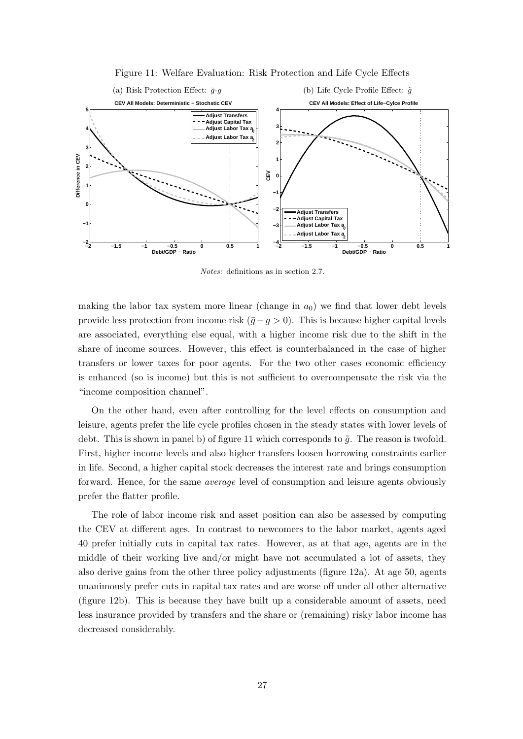

Figure 11: Welfare Evaluation: Risk Protection and Life Cycle Effects

*Notes:* definitions as in section 2.7.

making the labor tax system more linear (change in  $a<sub>0</sub>$ ) we find that lower debt levels provide less protection from income risk  $(\bar{g} - g > 0)$ . This is because higher capital levels are associated, everything else equal, with a higher income risk due to the shift in the share of income sources. However, this effect is counterbalanced in the case of higher transfers or lower taxes for poor agents. For the two other cases economic efficiency is enhanced (so is income) but this is not sufficient to overcompensate the risk via the "income composition channel".

On the other hand, even after controlling for the level effects on consumption and leisure, agents prefer the life cycle profiles chosen in the steady states with lower levels of debt. This is shown in panel b) of figure 11 which corresponds to  $\tilde{g}$ . The reason is twofold. First, higher income levels and also higher transfers loosen borrowing constraints earlier in life. Second, a higher capital stock decreases the interest rate and brings consumption forward. Hence, for the same *average* level of consumption and leisure agents obviously prefer the flatter profile.

The role of labor income risk and asset position can also be assessed by computing the CEV at different ages. In contrast to newcomers to the labor market, agents aged 40 prefer initially cuts in capital tax rates. However, as at that age, agents are in the middle of their working live and/or might have not accumulated a lot of assets, they also derive gains from the other three policy adjustments (figure 12a). At age 50, agents unanimously prefer cuts in capital tax rates and are worse off under all other alternative (figure 12b). This is because they have built up a considerable amount of assets, need less insurance provided by transfers and the share or (remaining) risky labor income has decreased considerably.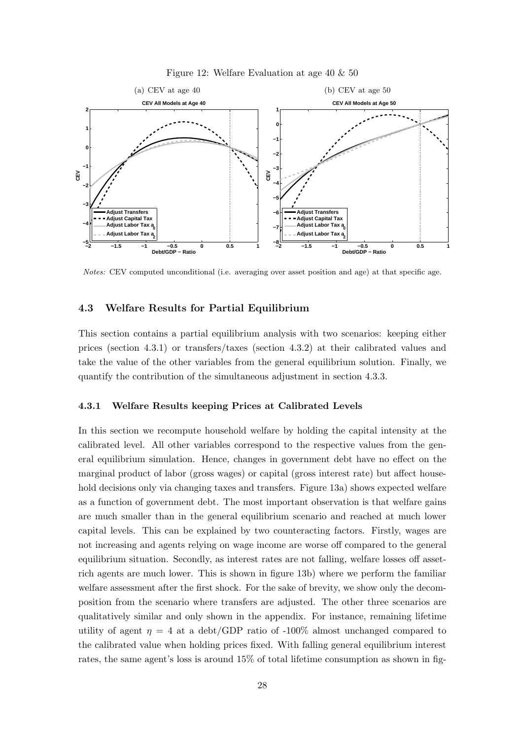



*Notes:* CEV computed unconditional (i.e. averaging over asset position and age) at that specific age.

#### **4.3 Welfare Results for Partial Equilibrium**

This section contains a partial equilibrium analysis with two scenarios: keeping either prices (section 4.3.1) or transfers/taxes (section 4.3.2) at their calibrated values and take the value of the other variables from the general equilibrium solution. Finally, we quantify the contribution of the simultaneous adjustment in section 4.3.3.

#### **4.3.1 Welfare Results keeping Prices at Calibrated Levels**

In this section we recompute household welfare by holding the capital intensity at the calibrated level. All other variables correspond to the respective values from the general equilibrium simulation. Hence, changes in government debt have no effect on the marginal product of labor (gross wages) or capital (gross interest rate) but affect household decisions only via changing taxes and transfers. Figure 13a) shows expected welfare as a function of government debt. The most important observation is that welfare gains are much smaller than in the general equilibrium scenario and reached at much lower capital levels. This can be explained by two counteracting factors. Firstly, wages are not increasing and agents relying on wage income are worse off compared to the general equilibrium situation. Secondly, as interest rates are not falling, welfare losses off assetrich agents are much lower. This is shown in figure 13b) where we perform the familiar welfare assessment after the first shock. For the sake of brevity, we show only the decomposition from the scenario where transfers are adjusted. The other three scenarios are qualitatively similar and only shown in the appendix. For instance, remaining lifetime utility of agent  $\eta = 4$  at a debt/GDP ratio of -100% almost unchanged compared to the calibrated value when holding prices fixed. With falling general equilibrium interest rates, the same agent's loss is around 15% of total lifetime consumption as shown in fig-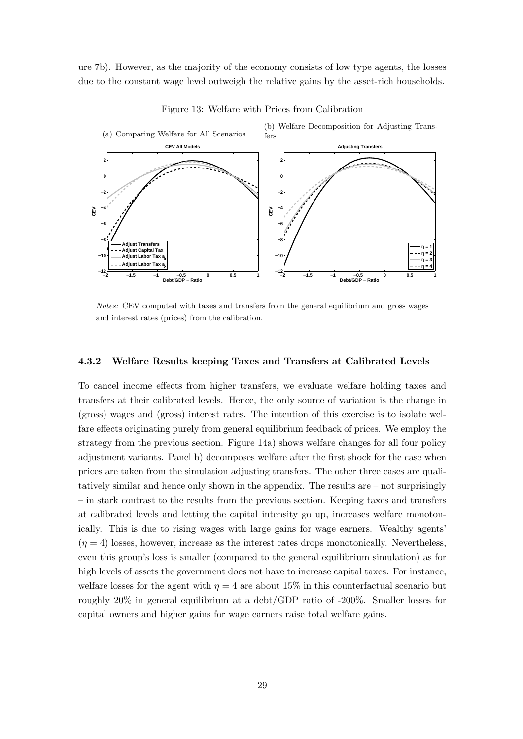ure 7b). However, as the majority of the economy consists of low type agents, the losses due to the constant wage level outweigh the relative gains by the asset-rich households.



Figure 13: Welfare with Prices from Calibration

*Notes:* CEV computed with taxes and transfers from the general equilibrium and gross wages and interest rates (prices) from the calibration.

#### **4.3.2 Welfare Results keeping Taxes and Transfers at Calibrated Levels**

To cancel income effects from higher transfers, we evaluate welfare holding taxes and transfers at their calibrated levels. Hence, the only source of variation is the change in (gross) wages and (gross) interest rates. The intention of this exercise is to isolate welfare effects originating purely from general equilibrium feedback of prices. We employ the strategy from the previous section. Figure 14a) shows welfare changes for all four policy adjustment variants. Panel b) decomposes welfare after the first shock for the case when prices are taken from the simulation adjusting transfers. The other three cases are qualitatively similar and hence only shown in the appendix. The results are – not surprisingly – in stark contrast to the results from the previous section. Keeping taxes and transfers at calibrated levels and letting the capital intensity go up, increases welfare monotonically. This is due to rising wages with large gains for wage earners. Wealthy agents'  $(n = 4)$  losses, however, increase as the interest rates drops monotonically. Nevertheless, even this group's loss is smaller (compared to the general equilibrium simulation) as for high levels of assets the government does not have to increase capital taxes. For instance, welfare losses for the agent with  $\eta = 4$  are about 15% in this counterfactual scenario but roughly 20% in general equilibrium at a debt/GDP ratio of -200%. Smaller losses for capital owners and higher gains for wage earners raise total welfare gains.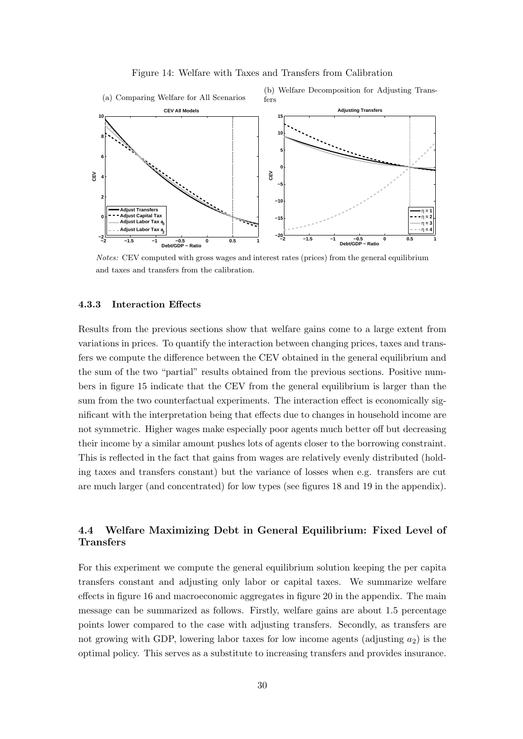



*Notes:* CEV computed with gross wages and interest rates (prices) from the general equilibrium and taxes and transfers from the calibration.

#### **4.3.3 Interaction Effects**

Results from the previous sections show that welfare gains come to a large extent from variations in prices. To quantify the interaction between changing prices, taxes and transfers we compute the difference between the CEV obtained in the general equilibrium and the sum of the two "partial" results obtained from the previous sections. Positive numbers in figure 15 indicate that the CEV from the general equilibrium is larger than the sum from the two counterfactual experiments. The interaction effect is economically significant with the interpretation being that effects due to changes in household income are not symmetric. Higher wages make especially poor agents much better off but decreasing their income by a similar amount pushes lots of agents closer to the borrowing constraint. This is reflected in the fact that gains from wages are relatively evenly distributed (holding taxes and transfers constant) but the variance of losses when e.g. transfers are cut are much larger (and concentrated) for low types (see figures 18 and 19 in the appendix).

## **4.4 Welfare Maximizing Debt in General Equilibrium: Fixed Level of Transfers**

For this experiment we compute the general equilibrium solution keeping the per capita transfers constant and adjusting only labor or capital taxes. We summarize welfare effects in figure 16 and macroeconomic aggregates in figure 20 in the appendix. The main message can be summarized as follows. Firstly, welfare gains are about 1.5 percentage points lower compared to the case with adjusting transfers. Secondly, as transfers are not growing with GDP, lowering labor taxes for low income agents (adjusting  $a_2$ ) is the optimal policy. This serves as a substitute to increasing transfers and provides insurance.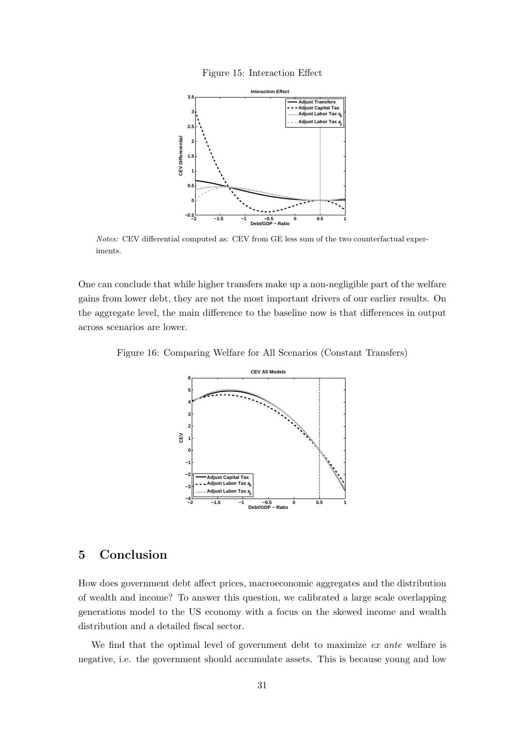Figure 15: Interaction Effect



*Notes:* CEV differential computed as: CEV from GE less sum of the two counterfactual experiments.

One can conclude that while higher transfers make up a non-negligible part of the welfare gains from lower debt, they are not the most important drivers of our earlier results. On the aggregate level, the main difference to the baseline now is that differences in output across scenarios are lower.

Figure 16: Comparing Welfare for All Scenarios (Constant Transfers)



# **5 Conclusion**

How does government debt affect prices, macroeconomic aggregates and the distribution of wealth and income? To answer this question, we calibrated a large scale overlapping generations model to the US economy with a focus on the skewed income and wealth distribution and a detailed fiscal sector.

We find that the optimal level of government debt to maximize *ex ante* welfare is negative, i.e. the government should accumulate assets. This is because young and low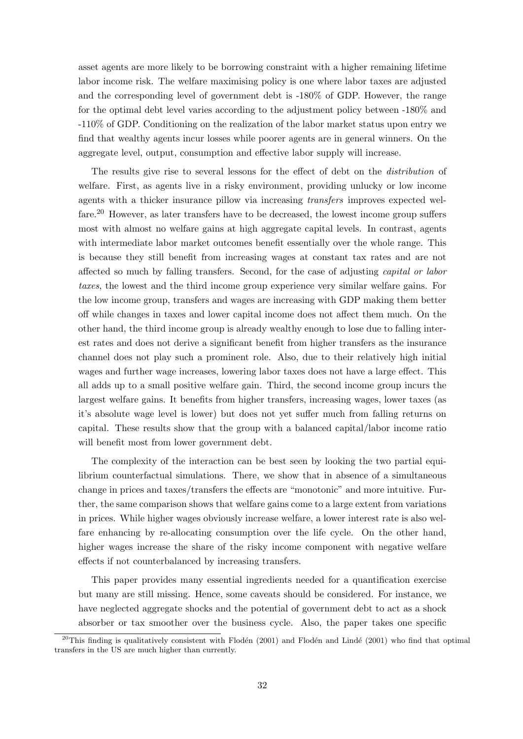asset agents are more likely to be borrowing constraint with a higher remaining lifetime labor income risk. The welfare maximising policy is one where labor taxes are adjusted and the corresponding level of government debt is -180% of GDP. However, the range for the optimal debt level varies according to the adjustment policy between -180% and -110% of GDP. Conditioning on the realization of the labor market status upon entry we find that wealthy agents incur losses while poorer agents are in general winners. On the aggregate level, output, consumption and effective labor supply will increase.

The results give rise to several lessons for the effect of debt on the *distribution* of welfare. First, as agents live in a risky environment, providing unlucky or low income agents with a thicker insurance pillow via increasing *transfers* improves expected welfare.<sup>20</sup> However, as later transfers have to be decreased, the lowest income group suffers most with almost no welfare gains at high aggregate capital levels. In contrast, agents with intermediate labor market outcomes benefit essentially over the whole range. This is because they still benefit from increasing wages at constant tax rates and are not affected so much by falling transfers. Second, for the case of adjusting *capital or labor taxes*, the lowest and the third income group experience very similar welfare gains. For the low income group, transfers and wages are increasing with GDP making them better off while changes in taxes and lower capital income does not affect them much. On the other hand, the third income group is already wealthy enough to lose due to falling interest rates and does not derive a significant benefit from higher transfers as the insurance channel does not play such a prominent role. Also, due to their relatively high initial wages and further wage increases, lowering labor taxes does not have a large effect. This all adds up to a small positive welfare gain. Third, the second income group incurs the largest welfare gains. It benefits from higher transfers, increasing wages, lower taxes (as it's absolute wage level is lower) but does not yet suffer much from falling returns on capital. These results show that the group with a balanced capital/labor income ratio will benefit most from lower government debt.

The complexity of the interaction can be best seen by looking the two partial equilibrium counterfactual simulations. There, we show that in absence of a simultaneous change in prices and taxes/transfers the effects are "monotonic" and more intuitive. Further, the same comparison shows that welfare gains come to a large extent from variations in prices. While higher wages obviously increase welfare, a lower interest rate is also welfare enhancing by re-allocating consumption over the life cycle. On the other hand, higher wages increase the share of the risky income component with negative welfare effects if not counterbalanced by increasing transfers.

This paper provides many essential ingredients needed for a quantification exercise but many are still missing. Hence, some caveats should be considered. For instance, we have neglected aggregate shocks and the potential of government debt to act as a shock absorber or tax smoother over the business cycle. Also, the paper takes one specific

<sup>&</sup>lt;sup>20</sup>This finding is qualitatively consistent with Flodén (2001) and Flodén and Lindé (2001) who find that optimal transfers in the US are much higher than currently.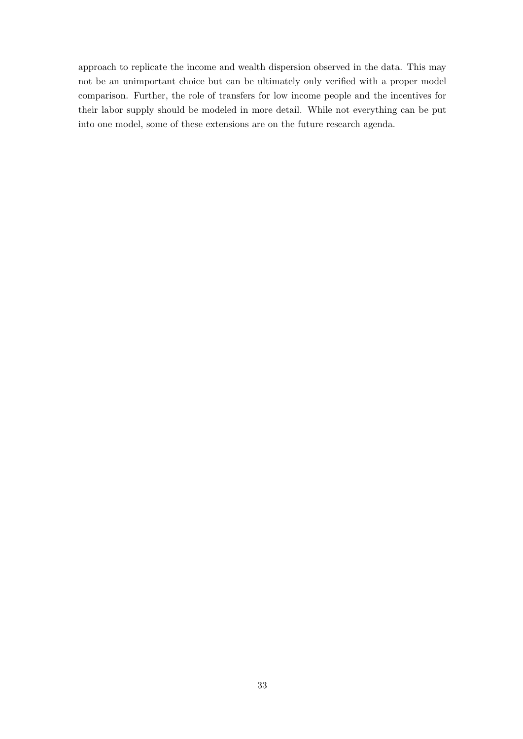approach to replicate the income and wealth dispersion observed in the data. This may not be an unimportant choice but can be ultimately only verified with a proper model comparison. Further, the role of transfers for low income people and the incentives for their labor supply should be modeled in more detail. While not everything can be put into one model, some of these extensions are on the future research agenda.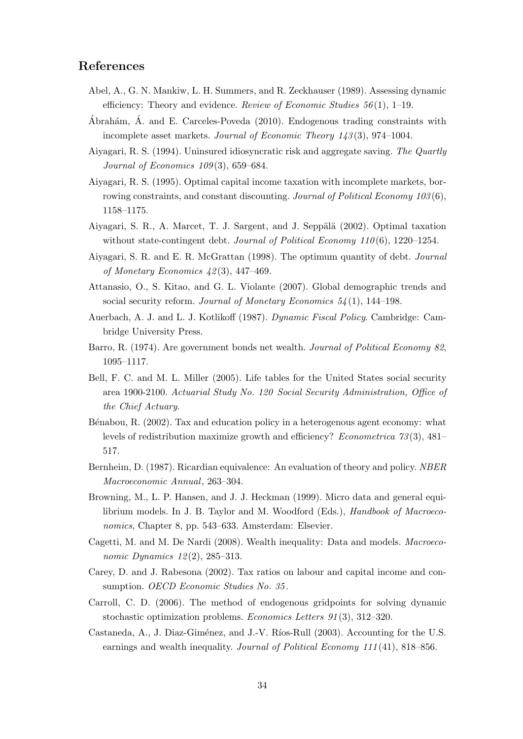## **References**

- Abel, A., G. N. Mankiw, L. H. Summers, and R. Zeckhauser (1989). Assessing dynamic efficiency: Theory and evidence. *Review of Economic Studies 56* (1), 1–19.
- Ábrahám, Á. and E. Carceles-Poveda  $(2010)$ . Endogenous trading constraints with incomplete asset markets. *Journal of Economic Theory 143* (3), 974–1004.
- Aiyagari, R. S. (1994). Uninsured idiosyncratic risk and aggregate saving. *The Quartly Journal of Economics 109* (3), 659–684.
- Aiyagari, R. S. (1995). Optimal capital income taxation with incomplete markets, borrowing constraints, and constant discounting. *Journal of Political Economy 103* (6), 1158–1175.
- Aiyagari, S. R., A. Marcet, T. J. Sargent, and J. Seppälä (2002). Optimal taxation without state-contingent debt. *Journal of Political Economy 110* (6), 1220–1254.
- Aiyagari, S. R. and E. R. McGrattan (1998). The optimum quantity of debt. *Journal of Monetary Economics 42* (3), 447–469.
- Attanasio, O., S. Kitao, and G. L. Violante (2007). Global demographic trends and social security reform. *Journal of Monetary Economics 54* (1), 144–198.
- Auerbach, A. J. and L. J. Kotlikoff (1987). *Dynamic Fiscal Policy*. Cambridge: Cambridge University Press.
- Barro, R. (1974). Are government bonds net wealth. *Journal of Political Economy 82*, 1095–1117.
- Bell, F. C. and M. L. Miller (2005). Life tables for the United States social security area 1900-2100. *Actuarial Study No. 120 Social Security Administration, Office of the Chief Actuary*.
- Bénabou, R. (2002). Tax and education policy in a heterogenous agent economy: what levels of redistribution maximize growth and efficiency? *Econometrica 73* (3), 481– 517.
- Bernheim, D. (1987). Ricardian equivalence: An evaluation of theory and policy. *NBER Macroeconomic Annual*, 263–304.
- Browning, M., L. P. Hansen, and J. J. Heckman (1999). Micro data and general equilibrium models. In J. B. Taylor and M. Woodford (Eds.), *Handbook of Macroeconomics*, Chapter 8, pp. 543–633. Amsterdam: Elsevier.
- Cagetti, M. and M. De Nardi (2008). Wealth inequality: Data and models. *Macroeconomic Dynamics 12* (2), 285–313.
- Carey, D. and J. Rabesona (2002). Tax ratios on labour and capital income and consumption. *OECD Economic Studies No. 35* .
- Carroll, C. D. (2006). The method of endogenous gridpoints for solving dynamic stochastic optimization problems. *Economics Letters 91* (3), 312–320.
- Castaneda, A., J. Diaz-Giménez, and J.-V. Ríos-Rull (2003). Accounting for the U.S. earnings and wealth inequality. *Journal of Political Economy 111* (41), 818–856.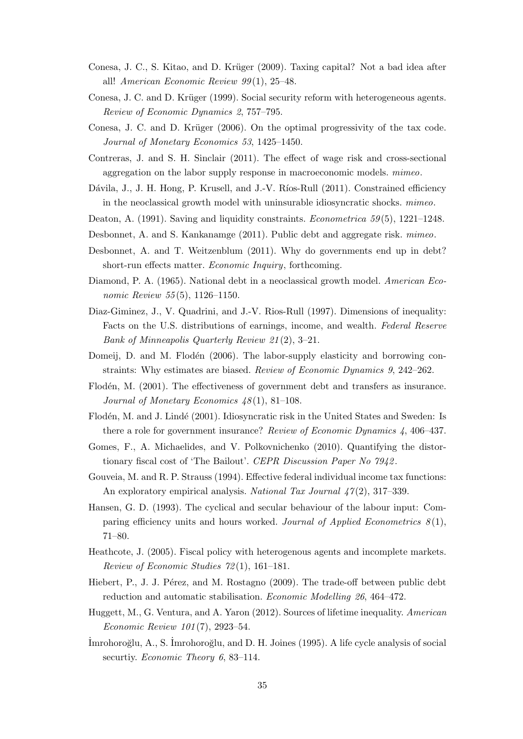- Conesa, J. C., S. Kitao, and D. Krüger (2009). Taxing capital? Not a bad idea after all! *American Economic Review 99* (1), 25–48.
- Conesa, J. C. and D. Krüger (1999). Social security reform with heterogeneous agents. *Review of Economic Dynamics 2*, 757–795.
- Conesa, J. C. and D. Krüger (2006). On the optimal progressivity of the tax code. *Journal of Monetary Economics 53*, 1425–1450.
- Contreras, J. and S. H. Sinclair (2011). The effect of wage risk and cross-sectional aggregation on the labor supply response in macroeconomic models. *mimeo*.
- Dávila, J., J. H. Hong, P. Krusell, and J.-V. Ríos-Rull (2011). Constrained efficiency in the neoclassical growth model with uninsurable idiosyncratic shocks. *mimeo*.
- Deaton, A. (1991). Saving and liquidity constraints. *Econometrica 59* (5), 1221–1248.
- Desbonnet, A. and S. Kankanamge (2011). Public debt and aggregate risk. *mimeo*.
- Desbonnet, A. and T. Weitzenblum (2011). Why do governments end up in debt? short-run effects matter. *Economic Inquiry*, forthcoming.
- Diamond, P. A. (1965). National debt in a neoclassical growth model. *American Economic Review 55* (5), 1126–1150.
- Diaz-Giminez, J., V. Quadrini, and J.-V. Rios-Rull (1997). Dimensions of inequality: Facts on the U.S. distributions of earnings, income, and wealth. *Federal Reserve Bank of Minneapolis Quarterly Review 21* (2), 3–21.
- Domeij, D. and M. Flodén (2006). The labor-supply elasticity and borrowing constraints: Why estimates are biased. *Review of Economic Dynamics 9*, 242–262.
- Flodén, M. (2001). The effectiveness of government debt and transfers as insurance. *Journal of Monetary Economics 48* (1), 81–108.
- Flodén, M. and J. Lindé (2001). Idiosyncratic risk in the United States and Sweden: Is there a role for government insurance? *Review of Economic Dynamics 4*, 406–437.
- Gomes, F., A. Michaelides, and V. Polkovnichenko (2010). Quantifying the distortionary fiscal cost of 'The Bailout'. *CEPR Discussion Paper No 7942* .
- Gouveia, M. and R. P. Strauss (1994). Effective federal individual income tax functions: An exploratory empirical analysis. *National Tax Journal 47* (2), 317–339.
- Hansen, G. D. (1993). The cyclical and secular behaviour of the labour input: Comparing efficiency units and hours worked. *Journal of Applied Econometrics 8* (1), 71–80.
- Heathcote, J. (2005). Fiscal policy with heterogenous agents and incomplete markets. *Review of Economic Studies 72* (1), 161–181.
- Hiebert, P., J. J. Pérez, and M. Rostagno (2009). The trade-off between public debt reduction and automatic stabilisation. *Economic Modelling 26*, 464–472.
- Huggett, M., G. Ventura, and A. Yaron (2012). Sources of lifetime inequality. *American Economic Review 101* (7), 2923–54.
- ˙Imrohoro˘glu, A., S. ˙Imrohoro˘glu, and D. H. Joines (1995). A life cycle analysis of social securtiy. *Economic Theory 6*, 83–114.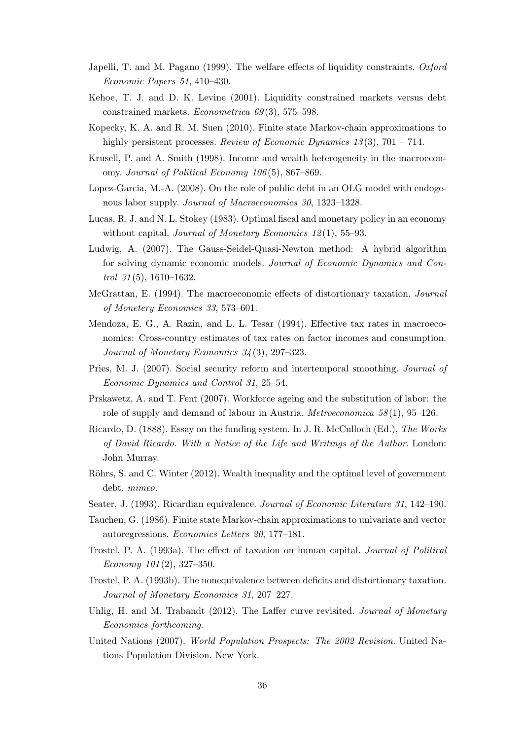- Japelli, T. and M. Pagano (1999). The welfare effects of liquidity constraints. *Oxford Economic Papers 51*, 410–430.
- Kehoe, T. J. and D. K. Levine (2001). Liquidity constrained markets versus debt constrained markets. *Econometrica 69* (3), 575–598.
- Kopecky, K. A. and R. M. Suen (2010). Finite state Markov-chain approximations to highly persistent processes. *Review of Economic Dynamics 13* (3), 701 – 714.
- Krusell, P. and A. Smith (1998). Income and wealth heterogeneity in the macroeconomy. *Journal of Political Economy 106* (5), 867–869.
- Lopez-Garcia, M.-A. (2008). On the role of public debt in an OLG model with endogenous labor supply. *Journal of Macroeconomics 30*, 1323–1328.
- Lucas, R. J. and N. L. Stokey (1983). Optimal fiscal and monetary policy in an economy without capital. *Journal of Monetary Economics 12* (1), 55–93.
- Ludwig, A. (2007). The Gauss-Seidel-Quasi-Newton method: A hybrid algorithm for solving dynamic economic models. *Journal of Economic Dynamics and Control 31* (5), 1610–1632.
- McGrattan, E. (1994). The macroeconomic effects of distortionary taxation. *Journal of Monetery Economics 33*, 573–601.
- Mendoza, E. G., A. Razin, and L. L. Tesar (1994). Effective tax rates in macroeconomics: Cross-country estimates of tax rates on factor incomes and consumption. *Journal of Monetary Economics 34* (3), 297–323.
- Pries, M. J. (2007). Social security reform and intertemporal smoothing. *Journal of Economic Dynamics and Control 31*, 25–54.
- Prskawetz, A. and T. Fent (2007). Workforce ageing and the substitution of labor: the role of supply and demand of labour in Austria. *Metroeconomica 58* (1), 95–126.
- Ricardo, D. (1888). Essay on the funding system. In J. R. McCulloch (Ed.), *The Works of David Ricardo. With a Notice of the Life and Writings of the Author*. London: John Murray.
- Röhrs, S. and C. Winter (2012). Wealth inequality and the optimal level of government debt. *mimeo*.
- Seater, J. (1993). Ricardian equivalence. *Journal of Economic Literature 31*, 142–190.
- Tauchen, G. (1986). Finite state Markov-chain approximations to univariate and vector autoregressions. *Economics Letters 20*, 177–181.
- Trostel, P. A. (1993a). The effect of taxation on human capital. *Journal of Political Economy 101* (2), 327–350.
- Trostel, P. A. (1993b). The nonequivalence between deficits and distortionary taxation. *Journal of Monetary Economics 31*, 207–227.
- Uhlig, H. and M. Trabandt (2012). The Laffer curve revisited. *Journal of Monetary Economics forthcoming*.
- United Nations (2007). *World Population Prospects: The 2002 Revision*. United Nations Population Division. New York.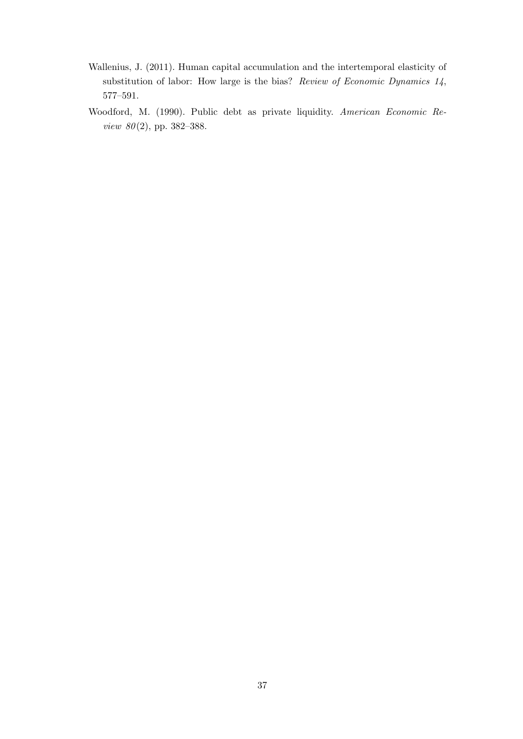- Wallenius, J. (2011). Human capital accumulation and the intertemporal elasticity of substitution of labor: How large is the bias? *Review of Economic Dynamics 14*, 577–591.
- Woodford, M. (1990). Public debt as private liquidity. *American Economic Review 80* (2), pp. 382–388.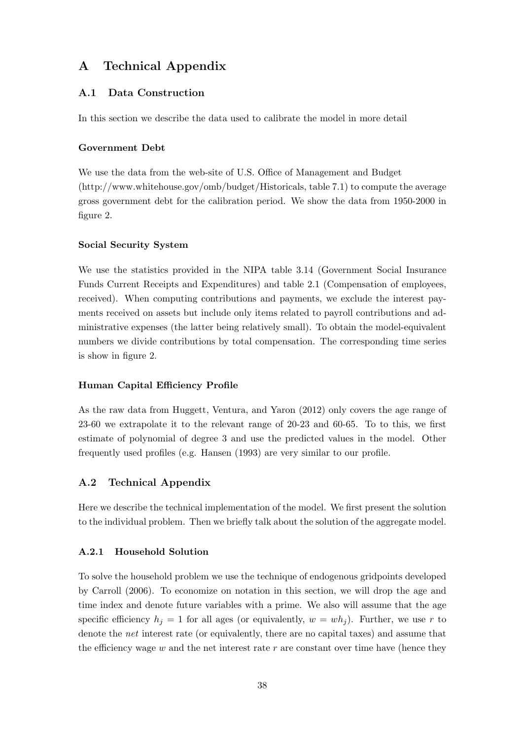# **A Technical Appendix**

## **A.1 Data Construction**

In this section we describe the data used to calibrate the model in more detail

#### **Government Debt**

We use the data from the web-site of U.S. Office of Management and Budget (http://www.whitehouse.gov/omb/budget/Historicals, table 7.1) to compute the average gross government debt for the calibration period. We show the data from 1950-2000 in figure 2.

#### **Social Security System**

We use the statistics provided in the NIPA table 3.14 (Government Social Insurance Funds Current Receipts and Expenditures) and table 2.1 (Compensation of employees, received). When computing contributions and payments, we exclude the interest payments received on assets but include only items related to payroll contributions and administrative expenses (the latter being relatively small). To obtain the model-equivalent numbers we divide contributions by total compensation. The corresponding time series is show in figure 2.

#### **Human Capital Efficiency Profile**

As the raw data from Huggett, Ventura, and Yaron (2012) only covers the age range of 23-60 we extrapolate it to the relevant range of 20-23 and 60-65. To to this, we first estimate of polynomial of degree 3 and use the predicted values in the model. Other frequently used profiles (e.g. Hansen (1993) are very similar to our profile.

### **A.2 Technical Appendix**

Here we describe the technical implementation of the model. We first present the solution to the individual problem. Then we briefly talk about the solution of the aggregate model.

#### **A.2.1 Household Solution**

To solve the household problem we use the technique of endogenous gridpoints developed by Carroll (2006). To economize on notation in this section, we will drop the age and time index and denote future variables with a prime. We also will assume that the age specific efficiency  $h_i = 1$  for all ages (or equivalently,  $w = wh_i$ ). Further, we use r to denote the *net* interest rate (or equivalently, there are no capital taxes) and assume that the efficiency wage  $w$  and the net interest rate  $r$  are constant over time have (hence they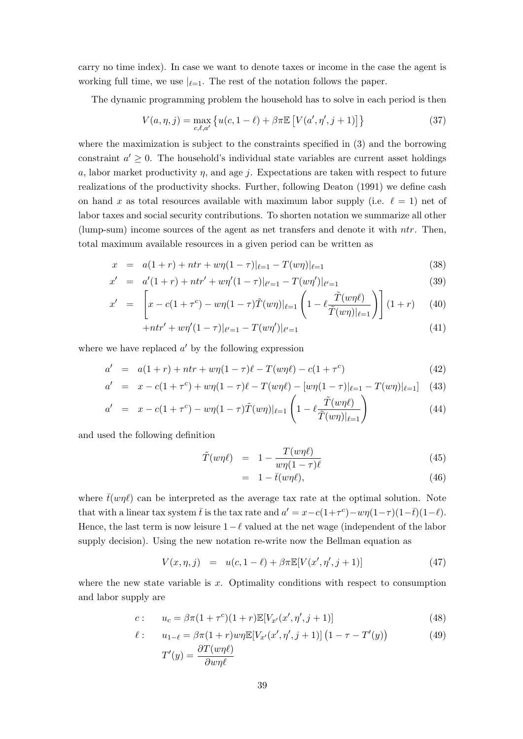carry no time index). In case we want to denote taxes or income in the case the agent is working full time, we use  $|_{\ell=1}$ . The rest of the notation follows the paper.

The dynamic programming problem the household has to solve in each period is then

$$
V(a, \eta, j) = \max_{c, \ell, a'} \{ u(c, 1 - \ell) + \beta \pi \mathbb{E} \left[ V(a', \eta', j + 1) \right] \}
$$
(37)

where the maximization is subject to the constraints specified in (3) and the borrowing constraint  $a' \geq 0$ . The household's individual state variables are current asset holdings *a*, labor market productivity  $\eta$ , and age *j*. Expectations are taken with respect to future realizations of the productivity shocks. Further, following Deaton (1991) we define cash on hand *x* as total resources available with maximum labor supply (i.e.  $\ell = 1$ ) net of labor taxes and social security contributions. To shorten notation we summarize all other (lump-sum) income sources of the agent as net transfers and denote it with *ntr*. Then, total maximum available resources in a given period can be written as

$$
x = a(1+r) + ntr + w\eta(1-\tau)|_{\ell=1} - T(w\eta)|_{\ell=1}
$$
\n(38)

$$
x' = a'(1+r) + ntr' + w\eta'(1-\tau)|_{\ell'=1} - T(w\eta')|_{\ell'=1}
$$
\n(39)

$$
x' = \left[ x - c(1 + \tau^c) - w\eta (1 - \tau) \tilde{T}(w\eta) |_{\ell=1} \left( 1 - \ell \frac{\tilde{T}(w\eta \ell)}{\tilde{T}(w\eta) |_{\ell=1}} \right) \right] (1 + r) \tag{40}
$$

$$
+ntr' + w\eta'(1-\tau)|_{\ell'=1} - T(w\eta')|_{\ell'=1}
$$
\n(41)

where we have replaced *a ′* by the following expression

$$
a' = a(1+r) + ntr + w\eta(1-\tau)\ell - T(w\eta\ell) - c(1+\tau^c)
$$
\n(42)

$$
a' = x - c(1 + \tau^c) + w\eta(1 - \tau)\ell - T(w\eta\ell) - [w\eta(1 - \tau)|_{\ell=1} - T(w\eta)|_{\ell=1}] \tag{43}
$$

$$
a' = x - c(1 + \tau^c) - w\eta(1 - \tau)\tilde{T}(w\eta)|_{\ell=1} \left(1 - \ell \frac{\tilde{T}(w\eta\ell)}{\tilde{T}(w\eta)|_{\ell=1}}\right)
$$
(44)

and used the following definition

$$
\tilde{T}(w\eta\ell) = 1 - \frac{T(w\eta\ell)}{w\eta(1-\tau)\ell} \tag{45}
$$

$$
= 1 - \bar{t}(w\eta\ell), \tag{46}
$$

where  $\bar{t}(w\eta\ell)$  can be interpreted as the average tax rate at the optimal solution. Note that with a linear tax system  $\bar{t}$  is the tax rate and  $a' = x - c(1+\tau^c) - w\eta(1-\tau)(1-\bar{t})(1-\ell)$ . Hence, the last term is now leisure 1*−ℓ* valued at the net wage (independent of the labor supply decision). Using the new notation re-write now the Bellman equation as

$$
V(x, \eta, j) = u(c, 1 - \ell) + \beta \pi \mathbb{E}[V(x', \eta', j + 1)] \tag{47}
$$

where the new state variable is *x*. Optimality conditions with respect to consumption and labor supply are

$$
c: \t u_c = \beta \pi (1 + \tau^c)(1 + r) \mathbb{E}[V_{x'}(x', \eta', j + 1)] \t(48)
$$

$$
\ell: \t u_{1-\ell} = \beta \pi (1+r) w \eta \mathbb{E}[V_{x'}(x', \eta', j+1)] \left(1 - \tau - T'(y)\right)
$$
\n
$$
T'(y) = \frac{\partial T(w \eta \ell)}{\partial w \eta \ell}
$$
\n(49)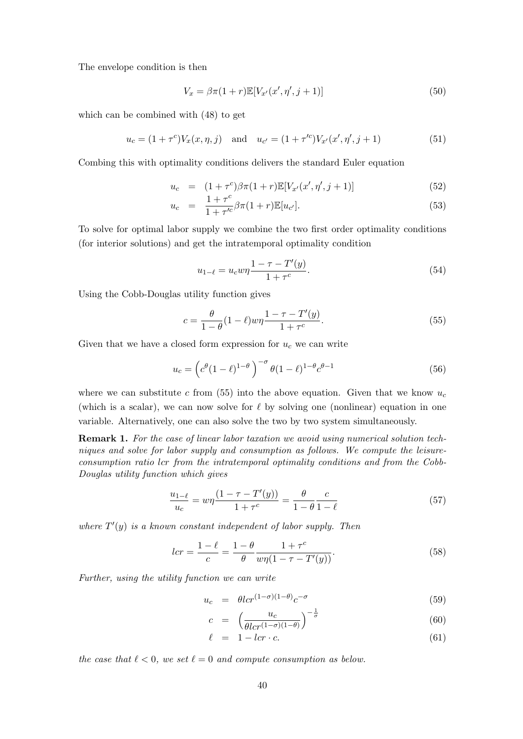The envelope condition is then

$$
V_x = \beta \pi (1+r) \mathbb{E}[V_{x'}(x', \eta', j+1)] \tag{50}
$$

which can be combined with (48) to get

$$
u_c = (1 + \tau^c) V_x(x, \eta, j) \quad \text{and} \quad u_{c'} = (1 + \tau'^c) V_{x'}(x', \eta', j + 1)
$$
 (51)

Combing this with optimality conditions delivers the standard Euler equation

$$
u_c = (1 + \tau^c)\beta\pi(1 + r)\mathbb{E}[V_{x'}(x', \eta', j + 1)] \tag{52}
$$

$$
u_c = \frac{1 + \tau^c}{1 + \tau'^c} \beta \pi (1 + r) \mathbb{E}[u_{c'}].
$$
\n(53)

To solve for optimal labor supply we combine the two first order optimality conditions (for interior solutions) and get the intratemporal optimality condition

$$
u_{1-\ell} = u_c w \eta \frac{1 - \tau - T'(y)}{1 + \tau^c}.
$$
\n(54)

Using the Cobb-Douglas utility function gives

$$
c = \frac{\theta}{1 - \theta} (1 - \ell) w \eta \frac{1 - \tau - T'(y)}{1 + \tau^c}.
$$
 (55)

Given that we have a closed form expression for  $u_c$  we can write

$$
u_c = \left(c^{\theta}(1-\ell)^{1-\theta}\right)^{-\sigma} \theta(1-\ell)^{1-\theta} c^{\theta-1}
$$
\n(56)

where we can substitute  $c$  from (55) into the above equation. Given that we know  $u_c$ (which is a scalar), we can now solve for *ℓ* by solving one (nonlinear) equation in one variable. Alternatively, one can also solve the two by two system simultaneously.

**Remark 1.** *For the case of linear labor taxation we avoid using numerical solution techniques and solve for labor supply and consumption as follows. We compute the leisureconsumption ratio lcr from the intratemporal optimality conditions and from the Cobb-Douglas utility function which gives*

$$
\frac{u_{1-\ell}}{u_c} = w\eta \frac{(1 - \tau - T'(y))}{1 + \tau^c} = \frac{\theta}{1 - \theta} \frac{c}{1 - \ell}
$$
\n(57)

*where*  $T'(y)$  *is a known constant independent of labor supply. Then* 

$$
lcr = \frac{1 - \ell}{c} = \frac{1 - \theta}{\theta} \frac{1 + \tau^c}{w\eta(1 - \tau - T'(y))}.
$$
\n(58)

*Further, using the utility function we can write*

$$
u_c = \theta l c r^{(1-\sigma)(1-\theta)} c^{-\sigma} \tag{59}
$$

$$
c = \left(\frac{u_c}{\theta l c r^{(1-\sigma)(1-\theta)}}\right)^{-\frac{1}{\sigma}} \tag{60}
$$

$$
\ell = 1 - lcr \cdot c. \tag{61}
$$

*the case that*  $\ell < 0$ *, we set*  $\ell = 0$  *and compute consumption as below.*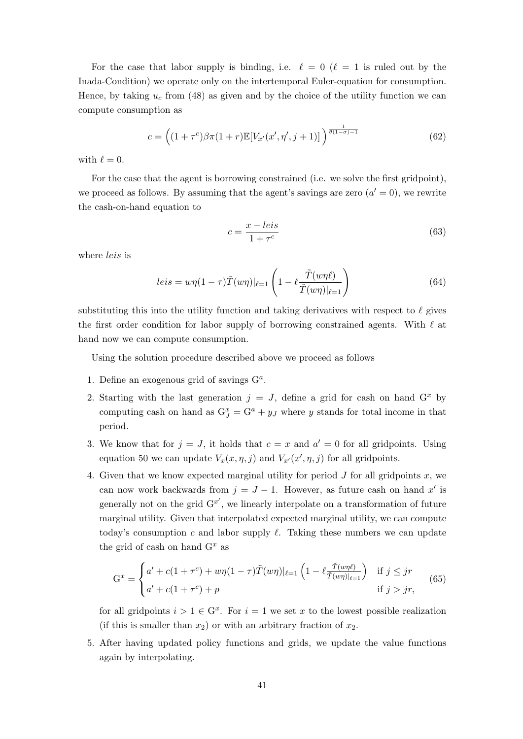For the case that labor supply is binding, i.e.  $\ell = 0$  ( $\ell = 1$  is ruled out by the Inada-Condition) we operate only on the intertemporal Euler-equation for consumption. Hence, by taking  $u_c$  from (48) as given and by the choice of the utility function we can compute consumption as

$$
c = \left( (1 + \tau^c) \beta \pi (1 + r) \mathbb{E}[V_{x'}(x', \eta', j + 1)] \right)^{\frac{1}{\theta (1 - \sigma) - 1}} \tag{62}
$$

with  $\ell = 0$ .

For the case that the agent is borrowing constrained (i.e. we solve the first gridpoint), we proceed as follows. By assuming that the agent's savings are zero  $(a' = 0)$ , we rewrite the cash-on-hand equation to

$$
c = \frac{x - leis}{1 + \tau^c} \tag{63}
$$

where *leis* is

$$
leis = w\eta(1-\tau)\tilde{T}(w\eta)|_{\ell=1}\left(1-\ell\frac{\tilde{T}(w\eta\ell)}{\tilde{T}(w\eta)|_{\ell=1}}\right)
$$
\n(64)

substituting this into the utility function and taking derivatives with respect to *ℓ* gives the first order condition for labor supply of borrowing constrained agents. With *ℓ* at hand now we can compute consumption.

Using the solution procedure described above we proceed as follows

- 1. Define an exogenous grid of savings G*<sup>a</sup>* .
- 2. Starting with the last generation  $j = J$ , define a grid for cash on hand  $G^x$  by computing cash on hand as  $G_J^x = G^a + y_J$  where *y* stands for total income in that period.
- 3. We know that for  $j = J$ , it holds that  $c = x$  and  $a' = 0$  for all gridpoints. Using equation 50 we can update  $V_x(x, \eta, j)$  and  $V_{x'}(x', \eta, j)$  for all gridpoints.
- 4. Given that we know expected marginal utility for period  $J$  for all gridpoints  $x$ , we can now work backwards from  $j = J - 1$ . However, as future cash on hand  $x'$  is generally not on the grid  $G^{x'}$ , we linearly interpolate on a transformation of future marginal utility. Given that interpolated expected marginal utility, we can compute today's consumption *c* and labor supply  $\ell$ . Taking these numbers we can update the grid of cash on hand G*<sup>x</sup>* as

$$
G^{x} = \begin{cases} a' + c(1+\tau^{c}) + w\eta(1-\tau)\tilde{T}(w\eta)|_{\ell=1} \left(1 - \ell \frac{\tilde{T}(w\eta\ell)}{\tilde{T}(w\eta)|_{\ell=1}}\right) & \text{if } j \leq jr\\ a' + c(1+\tau^{c}) + p & \text{if } j > jr, \end{cases}
$$
(65)

for all gridpoints  $i > 1 \in G^x$ . For  $i = 1$  we set x to the lowest possible realization (if this is smaller than  $x_2$ ) or with an arbitrary fraction of  $x_2$ .

5. After having updated policy functions and grids, we update the value functions again by interpolating.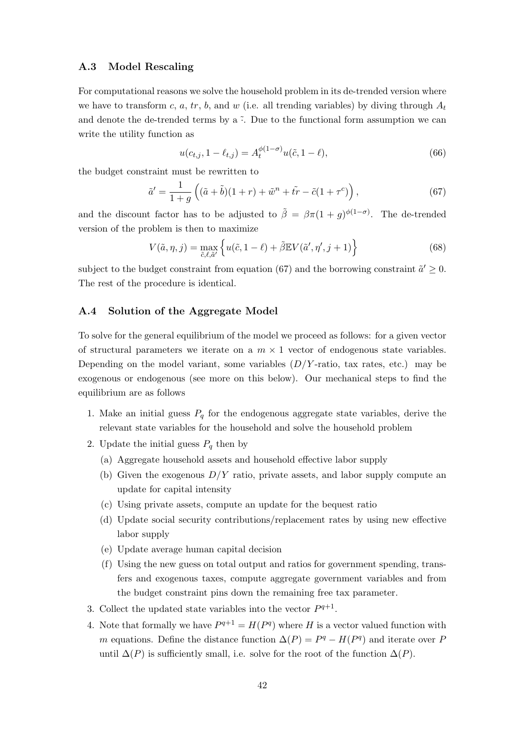#### **A.3 Model Rescaling**

For computational reasons we solve the household problem in its de-trended version where we have to transform *c*, *a*, *tr*, *b*, and *w* (i.e. all trending variables) by diving through  $A_t$ and denote the de-trended terms by a  $\tilde{\cdot}$ . Due to the functional form assumption we can write the utility function as

$$
u(c_{t,j}, 1 - \ell_{t,j}) = A_t^{\phi(1-\sigma)} u(\tilde{c}, 1-\ell),
$$
\n(66)

the budget constraint must be rewritten to

$$
\tilde{a}' = \frac{1}{1+g} \left( (\tilde{a} + \tilde{b})(1+r) + \tilde{w}^n + \tilde{tr} - \tilde{c}(1+\tau^c) \right),\tag{67}
$$

and the discount factor has to be adjusted to  $\tilde{\beta} = \beta \pi (1 + g)^{\phi(1-\sigma)}$ . The de-trended version of the problem is then to maximize

$$
V(\tilde{a}, \eta, j) = \max_{\tilde{c}, \ell, \tilde{a}'} \left\{ u(\tilde{c}, 1 - \ell) + \tilde{\beta} \mathbb{E} V(\tilde{a}', \eta', j + 1) \right\}
$$
(68)

subject to the budget constraint from equation (67) and the borrowing constraint  $\tilde{a}' \geq 0$ . The rest of the procedure is identical.

### **A.4 Solution of the Aggregate Model**

To solve for the general equilibrium of the model we proceed as follows: for a given vector of structural parameters we iterate on a  $m \times 1$  vector of endogenous state variables. Depending on the model variant, some variables (*D/Y* -ratio, tax rates, etc.) may be exogenous or endogenous (see more on this below). Our mechanical steps to find the equilibrium are as follows

- 1. Make an initial guess  $P_q$  for the endogenous aggregate state variables, derive the relevant state variables for the household and solve the household problem
- 2. Update the initial guess  $P_q$  then by
	- (a) Aggregate household assets and household effective labor supply
	- (b) Given the exogenous *D/Y* ratio, private assets, and labor supply compute an update for capital intensity
	- (c) Using private assets, compute an update for the bequest ratio
	- (d) Update social security contributions/replacement rates by using new effective labor supply
	- (e) Update average human capital decision
	- (f) Using the new guess on total output and ratios for government spending, transfers and exogenous taxes, compute aggregate government variables and from the budget constraint pins down the remaining free tax parameter.
- 3. Collect the updated state variables into the vector  $P^{q+1}$ .
- 4. Note that formally we have  $P^{q+1} = H(P^q)$  where *H* is a vector valued function with *m* equations. Define the distance function  $\Delta(P) = P^q - H(P^q)$  and iterate over *P* until  $\Delta(P)$  is sufficiently small, i.e. solve for the root of the function  $\Delta(P)$ .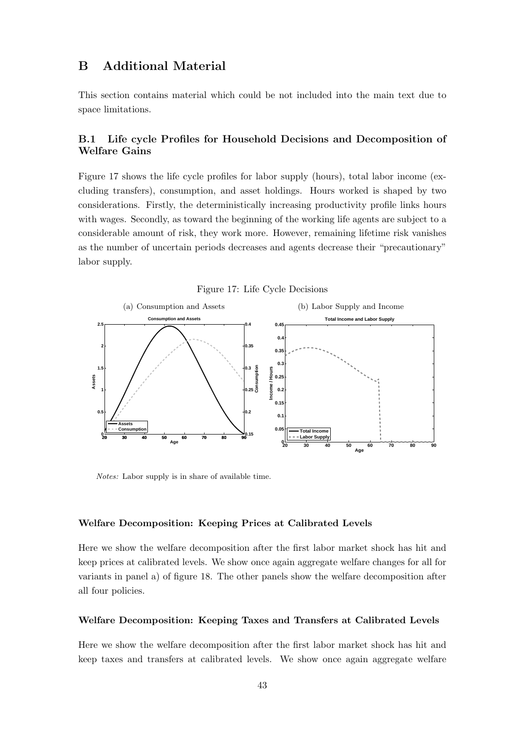## **B Additional Material**

This section contains material which could be not included into the main text due to space limitations.

## **B.1 Life cycle Profiles for Household Decisions and Decomposition of Welfare Gains**

Figure 17 shows the life cycle profiles for labor supply (hours), total labor income (excluding transfers), consumption, and asset holdings. Hours worked is shaped by two considerations. Firstly, the deterministically increasing productivity profile links hours with wages. Secondly, as toward the beginning of the working life agents are subject to a considerable amount of risk, they work more. However, remaining lifetime risk vanishes as the number of uncertain periods decreases and agents decrease their "precautionary" labor supply.



Figure 17: Life Cycle Decisions

*Notes:* Labor supply is in share of available time.

#### **Welfare Decomposition: Keeping Prices at Calibrated Levels**

Here we show the welfare decomposition after the first labor market shock has hit and keep prices at calibrated levels. We show once again aggregate welfare changes for all for variants in panel a) of figure 18. The other panels show the welfare decomposition after all four policies.

#### **Welfare Decomposition: Keeping Taxes and Transfers at Calibrated Levels**

Here we show the welfare decomposition after the first labor market shock has hit and keep taxes and transfers at calibrated levels. We show once again aggregate welfare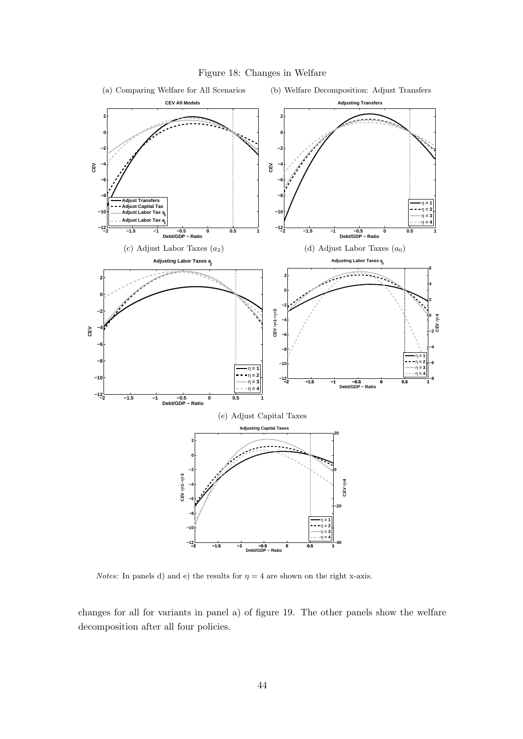

Figure 18: Changes in Welfare

*Notes:* In panels d) and e) the results for  $\eta = 4$  are shown on the right x-axis.

changes for all for variants in panel a) of figure 19. The other panels show the welfare decomposition after all four policies.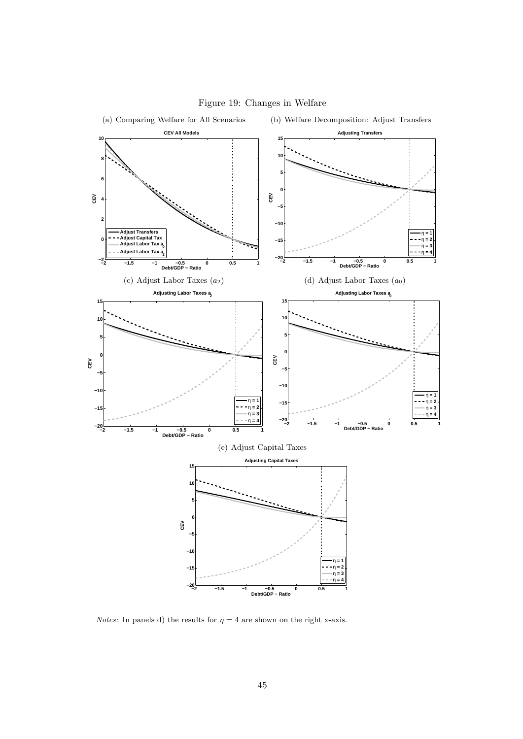

#### Figure 19: Changes in Welfare

*Notes:* In panels d) the results for  $\eta = 4$  are shown on the right x-axis.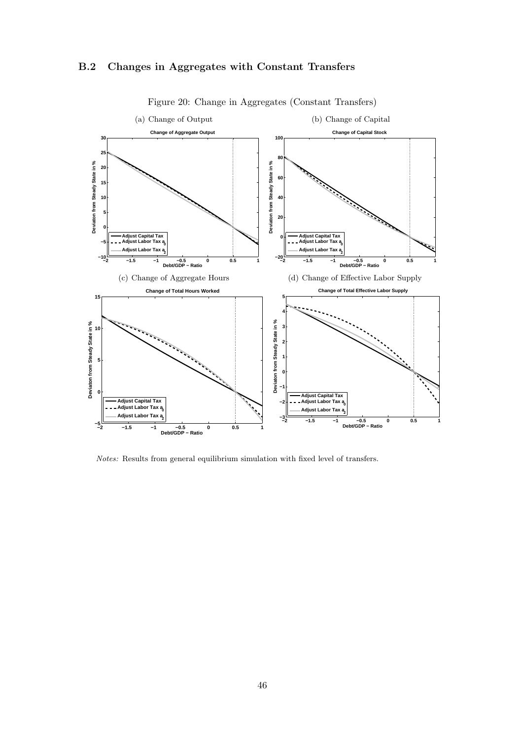



Figure 20: Change in Aggregates (Constant Transfers)

*Notes:* Results from general equilibrium simulation with fixed level of transfers.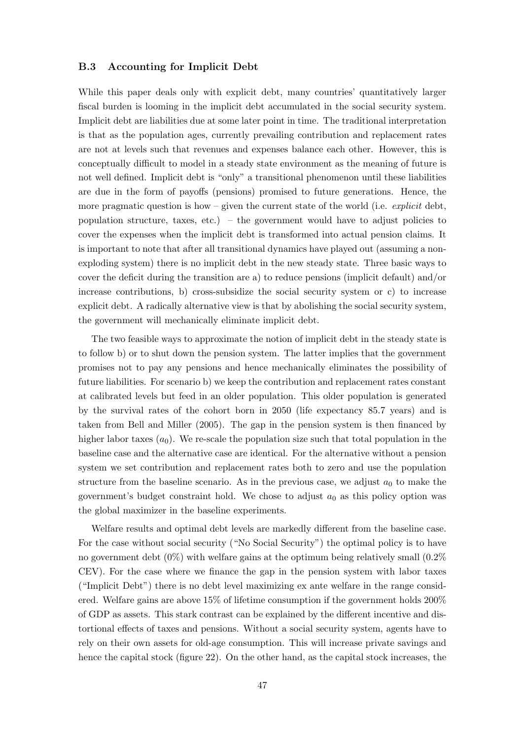#### **B.3 Accounting for Implicit Debt**

While this paper deals only with explicit debt, many countries' quantitatively larger fiscal burden is looming in the implicit debt accumulated in the social security system. Implicit debt are liabilities due at some later point in time. The traditional interpretation is that as the population ages, currently prevailing contribution and replacement rates are not at levels such that revenues and expenses balance each other. However, this is conceptually difficult to model in a steady state environment as the meaning of future is not well defined. Implicit debt is "only" a transitional phenomenon until these liabilities are due in the form of payoffs (pensions) promised to future generations. Hence, the more pragmatic question is how – given the current state of the world (i.e. *explicit* debt, population structure, taxes, etc.) – the government would have to adjust policies to cover the expenses when the implicit debt is transformed into actual pension claims. It is important to note that after all transitional dynamics have played out (assuming a nonexploding system) there is no implicit debt in the new steady state. Three basic ways to cover the deficit during the transition are a) to reduce pensions (implicit default) and/or increase contributions, b) cross-subsidize the social security system or c) to increase explicit debt. A radically alternative view is that by abolishing the social security system, the government will mechanically eliminate implicit debt.

The two feasible ways to approximate the notion of implicit debt in the steady state is to follow b) or to shut down the pension system. The latter implies that the government promises not to pay any pensions and hence mechanically eliminates the possibility of future liabilities. For scenario b) we keep the contribution and replacement rates constant at calibrated levels but feed in an older population. This older population is generated by the survival rates of the cohort born in 2050 (life expectancy 85.7 years) and is taken from Bell and Miller (2005). The gap in the pension system is then financed by higher labor taxes  $(a_0)$ . We re-scale the population size such that total population in the baseline case and the alternative case are identical. For the alternative without a pension system we set contribution and replacement rates both to zero and use the population structure from the baseline scenario. As in the previous case, we adjust  $a_0$  to make the government's budget constraint hold. We chose to adjust *a*<sup>0</sup> as this policy option was the global maximizer in the baseline experiments.

Welfare results and optimal debt levels are markedly different from the baseline case. For the case without social security ("No Social Security") the optimal policy is to have no government debt  $(0\%)$  with welfare gains at the optimum being relatively small  $(0.2\%)$ CEV). For the case where we finance the gap in the pension system with labor taxes ("Implicit Debt") there is no debt level maximizing ex ante welfare in the range considered. Welfare gains are above 15% of lifetime consumption if the government holds 200% of GDP as assets. This stark contrast can be explained by the different incentive and distortional effects of taxes and pensions. Without a social security system, agents have to rely on their own assets for old-age consumption. This will increase private savings and hence the capital stock (figure 22). On the other hand, as the capital stock increases, the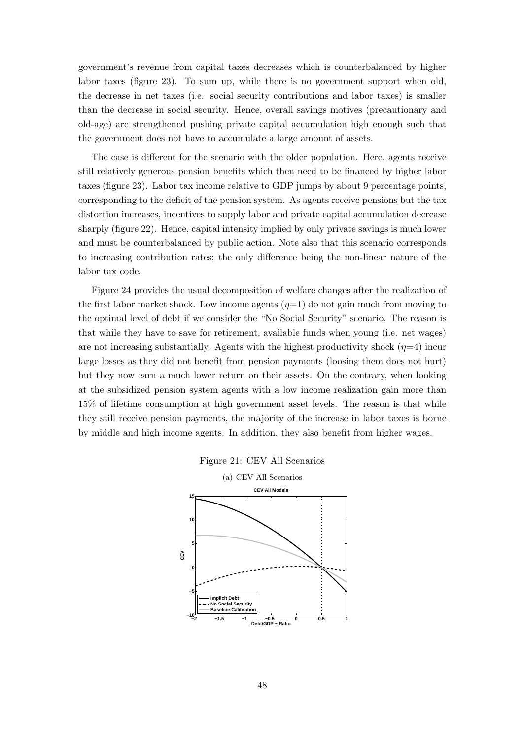government's revenue from capital taxes decreases which is counterbalanced by higher labor taxes (figure 23). To sum up, while there is no government support when old, the decrease in net taxes (i.e. social security contributions and labor taxes) is smaller than the decrease in social security. Hence, overall savings motives (precautionary and old-age) are strengthened pushing private capital accumulation high enough such that the government does not have to accumulate a large amount of assets.

The case is different for the scenario with the older population. Here, agents receive still relatively generous pension benefits which then need to be financed by higher labor taxes (figure 23). Labor tax income relative to GDP jumps by about 9 percentage points, corresponding to the deficit of the pension system. As agents receive pensions but the tax distortion increases, incentives to supply labor and private capital accumulation decrease sharply (figure 22). Hence, capital intensity implied by only private savings is much lower and must be counterbalanced by public action. Note also that this scenario corresponds to increasing contribution rates; the only difference being the non-linear nature of the labor tax code.

Figure 24 provides the usual decomposition of welfare changes after the realization of the first labor market shock. Low income agents  $(\eta=1)$  do not gain much from moving to the optimal level of debt if we consider the "No Social Security" scenario. The reason is that while they have to save for retirement, available funds when young (i.e. net wages) are not increasing substantially. Agents with the highest productivity shock  $(\eta=4)$  incur large losses as they did not benefit from pension payments (loosing them does not hurt) but they now earn a much lower return on their assets. On the contrary, when looking at the subsidized pension system agents with a low income realization gain more than 15% of lifetime consumption at high government asset levels. The reason is that while they still receive pension payments, the majority of the increase in labor taxes is borne by middle and high income agents. In addition, they also benefit from higher wages.



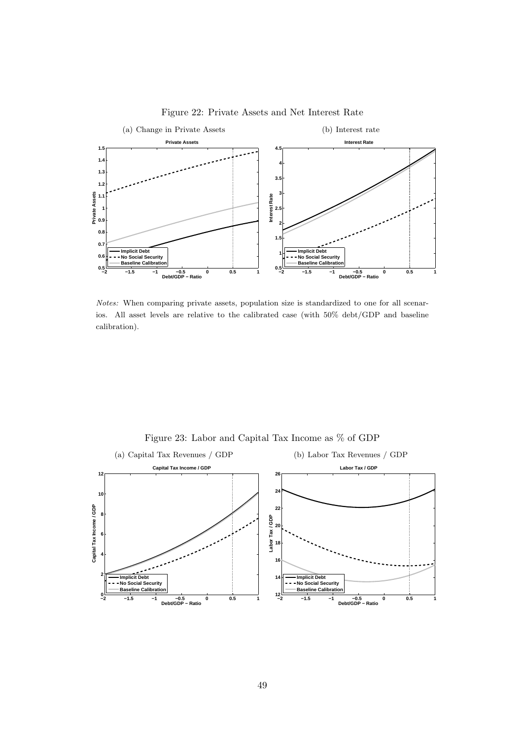

Figure 22: Private Assets and Net Interest Rate

*Notes:* When comparing private assets, population size is standardized to one for all scenarios. All asset levels are relative to the calibrated case (with 50% debt/GDP and baseline calibration).



Figure 23: Labor and Capital Tax Income as % of GDP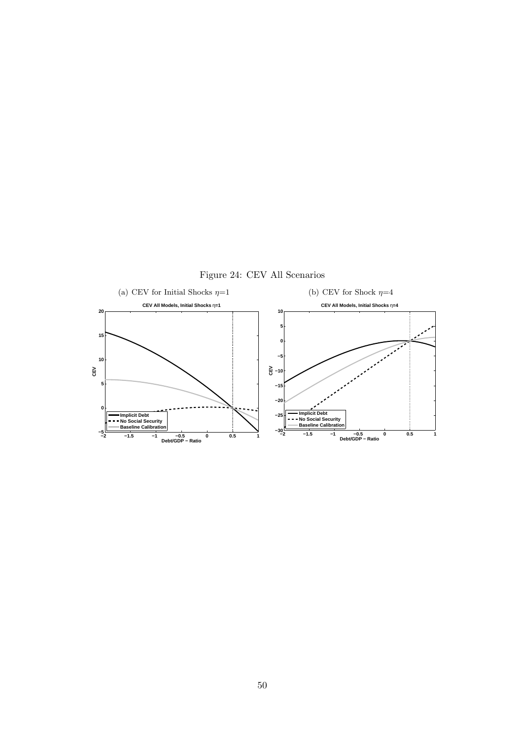

**−30 −25**

**−2 −1.5 −1 −0.5 0 0.5 1 Debt/GDP − Ratio**

**Implicit Debt No Social Security Baseline Calibration**

**−2 −1.5 −1 −0.5 0 0.5 1 Debt/GDP − Ratio**

**Implicit Debt No Social Security Baseline Calibration**

**−5**

**0**

Figure 24: CEV All Scenarios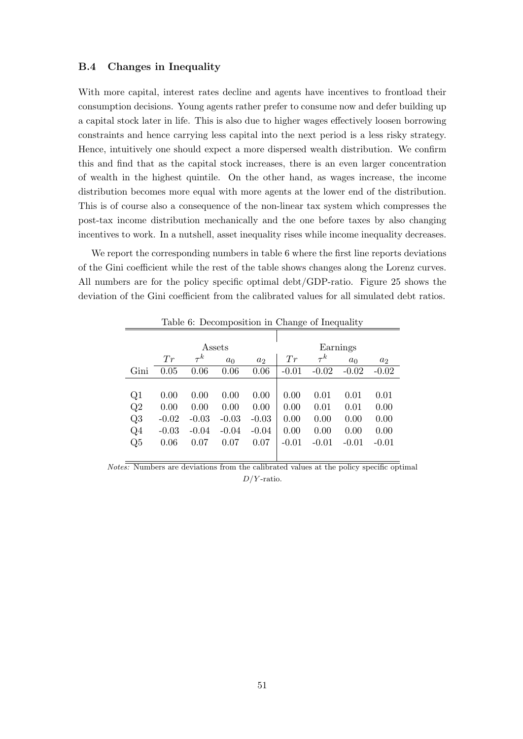#### **B.4 Changes in Inequality**

With more capital, interest rates decline and agents have incentives to frontload their consumption decisions. Young agents rather prefer to consume now and defer building up a capital stock later in life. This is also due to higher wages effectively loosen borrowing constraints and hence carrying less capital into the next period is a less risky strategy. Hence, intuitively one should expect a more dispersed wealth distribution. We confirm this and find that as the capital stock increases, there is an even larger concentration of wealth in the highest quintile. On the other hand, as wages increase, the income distribution becomes more equal with more agents at the lower end of the distribution. This is of course also a consequence of the non-linear tax system which compresses the post-tax income distribution mechanically and the one before taxes by also changing incentives to work. In a nutshell, asset inequality rises while income inequality decreases.

We report the corresponding numbers in table 6 where the first line reports deviations of the Gini coefficient while the rest of the table shows changes along the Lorenz curves. All numbers are for the policy specific optimal debt/GDP-ratio. Figure 25 shows the deviation of the Gini coefficient from the calibrated values for all simulated debt ratios.

|       |         |          |                |                | $\check{ }$ |          | $\cdot$        |                |  |
|-------|---------|----------|----------------|----------------|-------------|----------|----------------|----------------|--|
|       |         |          |                |                |             |          |                |                |  |
|       |         |          | Assets         |                | Earnings    |          |                |                |  |
|       | Tr      | $\tau^k$ | a <sub>0</sub> | a <sub>2</sub> | Tr          | $\tau^k$ | a <sub>0</sub> | a <sub>2</sub> |  |
| Gini  | 0.05    | 0.06     | 0.06           | 0.06           | $-0.01$     | $-0.02$  | $-0.02$        | $-0.02$        |  |
|       |         |          |                |                |             |          |                |                |  |
| Q1    | 0.00    | 0.00     | 0.00           | 0.00           | 0.00        | 0.01     | 0.01           | 0.01           |  |
| Q2    | 0.00    | 0.00     | 0.00           | 0.00           | 0.00        | 0.01     | 0.01           | 0.00           |  |
| Q3    | $-0.02$ | $-0.03$  | $-0.03$        | $-0.03$        | 0.00        | 0.00     | 0.00           | 0.00           |  |
| $Q_4$ | $-0.03$ | $-0.04$  | $-0.04$        | $-0.04$        | 0.00        | 0.00     | 0.00           | 0.00           |  |
| Q5    | 0.06    | 0.07     | 0.07           | 0.07           | $-0.01$     | $-0.01$  | $-0.01$        | $-0.01$        |  |
|       |         |          |                |                |             |          |                |                |  |

Table 6: Decomposition in Change of Inequality

*Notes:* Numbers are deviations from the calibrated values at the policy specific optimal *D/Y* -ratio.